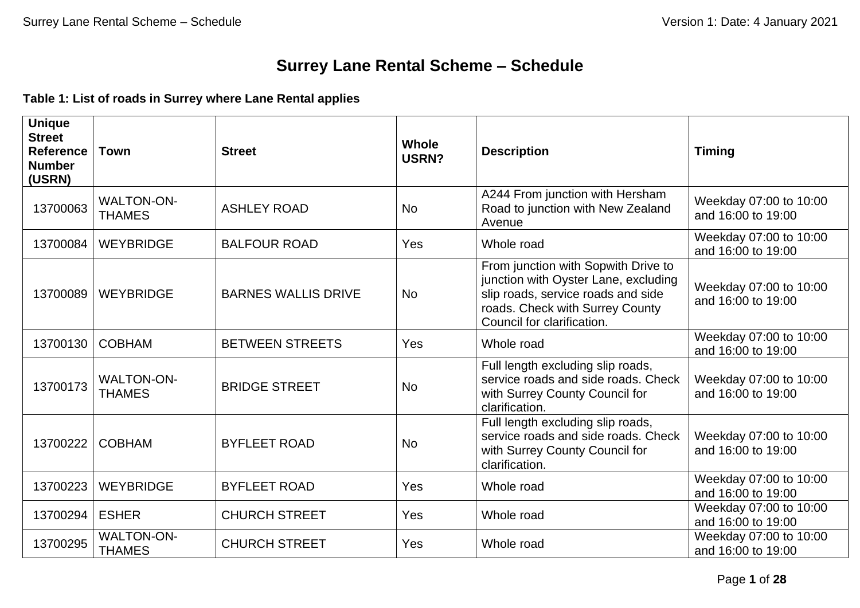## **Surrey Lane Rental Scheme – Schedule**

**Table 1: List of roads in Surrey where Lane Rental applies**

| <b>Unique</b><br><b>Street</b><br><b>Reference</b><br><b>Number</b><br>(USRN) | <b>Town</b>                        | <b>Street</b>              | <b>Whole</b><br>USRN? | <b>Description</b>                                                                                                                                                                 | <b>Timing</b>                                |
|-------------------------------------------------------------------------------|------------------------------------|----------------------------|-----------------------|------------------------------------------------------------------------------------------------------------------------------------------------------------------------------------|----------------------------------------------|
| 13700063                                                                      | <b>WALTON-ON-</b><br><b>THAMES</b> | <b>ASHLEY ROAD</b>         | <b>No</b>             | A244 From junction with Hersham<br>Road to junction with New Zealand<br>Avenue                                                                                                     | Weekday 07:00 to 10:00<br>and 16:00 to 19:00 |
| 13700084                                                                      | <b>WEYBRIDGE</b>                   | <b>BALFOUR ROAD</b>        | Yes                   | Whole road                                                                                                                                                                         | Weekday 07:00 to 10:00<br>and 16:00 to 19:00 |
| 13700089                                                                      | <b>WEYBRIDGE</b>                   | <b>BARNES WALLIS DRIVE</b> | <b>No</b>             | From junction with Sopwith Drive to<br>junction with Oyster Lane, excluding<br>slip roads, service roads and side<br>roads. Check with Surrey County<br>Council for clarification. | Weekday 07:00 to 10:00<br>and 16:00 to 19:00 |
| 13700130                                                                      | <b>COBHAM</b>                      | <b>BETWEEN STREETS</b>     | Yes                   | Whole road                                                                                                                                                                         | Weekday 07:00 to 10:00<br>and 16:00 to 19:00 |
| 13700173                                                                      | <b>WALTON-ON-</b><br><b>THAMES</b> | <b>BRIDGE STREET</b>       | <b>No</b>             | Full length excluding slip roads,<br>service roads and side roads. Check<br>with Surrey County Council for<br>clarification.                                                       | Weekday 07:00 to 10:00<br>and 16:00 to 19:00 |
| 13700222                                                                      | <b>COBHAM</b>                      | <b>BYFLEET ROAD</b>        | <b>No</b>             | Full length excluding slip roads,<br>service roads and side roads. Check<br>with Surrey County Council for<br>clarification.                                                       | Weekday 07:00 to 10:00<br>and 16:00 to 19:00 |
| 13700223                                                                      | <b>WEYBRIDGE</b>                   | <b>BYFLEET ROAD</b>        | Yes                   | Whole road                                                                                                                                                                         | Weekday 07:00 to 10:00<br>and 16:00 to 19:00 |
| 13700294                                                                      | <b>ESHER</b>                       | <b>CHURCH STREET</b>       | Yes                   | Whole road                                                                                                                                                                         | Weekday 07:00 to 10:00<br>and 16:00 to 19:00 |
| 13700295                                                                      | <b>WALTON-ON-</b><br><b>THAMES</b> | <b>CHURCH STREET</b>       | Yes                   | Whole road                                                                                                                                                                         | Weekday 07:00 to 10:00<br>and 16:00 to 19:00 |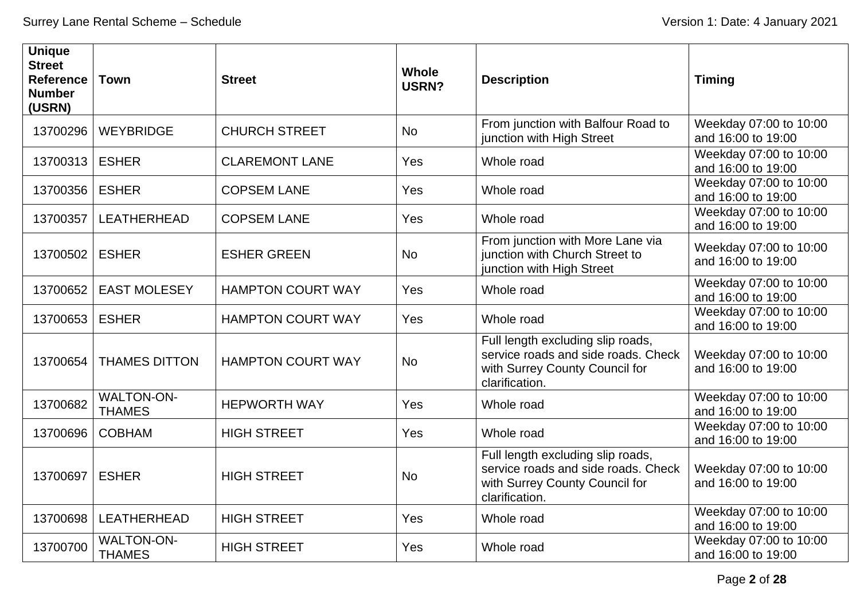| <b>Unique</b><br><b>Street</b><br><b>Reference</b><br><b>Number</b><br>(USRN) | <b>Town</b>                        | <b>Street</b>            | <b>Whole</b><br>USRN? | <b>Description</b>                                                                                                           | <b>Timing</b>                                |
|-------------------------------------------------------------------------------|------------------------------------|--------------------------|-----------------------|------------------------------------------------------------------------------------------------------------------------------|----------------------------------------------|
| 13700296                                                                      | <b>WEYBRIDGE</b>                   | <b>CHURCH STREET</b>     | <b>No</b>             | From junction with Balfour Road to<br>junction with High Street                                                              | Weekday 07:00 to 10:00<br>and 16:00 to 19:00 |
| 13700313                                                                      | <b>ESHER</b>                       | <b>CLAREMONT LANE</b>    | Yes                   | Whole road                                                                                                                   | Weekday 07:00 to 10:00<br>and 16:00 to 19:00 |
| 13700356                                                                      | <b>ESHER</b>                       | <b>COPSEM LANE</b>       | Yes                   | Whole road                                                                                                                   | Weekday 07:00 to 10:00<br>and 16:00 to 19:00 |
| 13700357                                                                      | LEATHERHEAD                        | <b>COPSEM LANE</b>       | Yes                   | Whole road                                                                                                                   | Weekday 07:00 to 10:00<br>and 16:00 to 19:00 |
| 13700502                                                                      | <b>ESHER</b>                       | <b>ESHER GREEN</b>       | <b>No</b>             | From junction with More Lane via<br>junction with Church Street to<br>junction with High Street                              | Weekday 07:00 to 10:00<br>and 16:00 to 19:00 |
| 13700652                                                                      | <b>EAST MOLESEY</b>                | <b>HAMPTON COURT WAY</b> | Yes                   | Whole road                                                                                                                   | Weekday 07:00 to 10:00<br>and 16:00 to 19:00 |
| 13700653                                                                      | <b>ESHER</b>                       | <b>HAMPTON COURT WAY</b> | Yes                   | Whole road                                                                                                                   | Weekday 07:00 to 10:00<br>and 16:00 to 19:00 |
| 13700654                                                                      | <b>THAMES DITTON</b>               | <b>HAMPTON COURT WAY</b> | <b>No</b>             | Full length excluding slip roads,<br>service roads and side roads. Check<br>with Surrey County Council for<br>clarification. | Weekday 07:00 to 10:00<br>and 16:00 to 19:00 |
| 13700682                                                                      | <b>WALTON-ON-</b><br><b>THAMES</b> | <b>HEPWORTH WAY</b>      | Yes                   | Whole road                                                                                                                   | Weekday 07:00 to 10:00<br>and 16:00 to 19:00 |
| 13700696                                                                      | <b>COBHAM</b>                      | <b>HIGH STREET</b>       | Yes                   | Whole road                                                                                                                   | Weekday 07:00 to 10:00<br>and 16:00 to 19:00 |
| 13700697                                                                      | <b>ESHER</b>                       | <b>HIGH STREET</b>       | <b>No</b>             | Full length excluding slip roads,<br>service roads and side roads. Check<br>with Surrey County Council for<br>clarification. | Weekday 07:00 to 10:00<br>and 16:00 to 19:00 |
| 13700698                                                                      | LEATHERHEAD                        | <b>HIGH STREET</b>       | Yes                   | Whole road                                                                                                                   | Weekday 07:00 to 10:00<br>and 16:00 to 19:00 |
| 13700700                                                                      | <b>WALTON-ON-</b><br><b>THAMES</b> | <b>HIGH STREET</b>       | Yes                   | Whole road                                                                                                                   | Weekday 07:00 to 10:00<br>and 16:00 to 19:00 |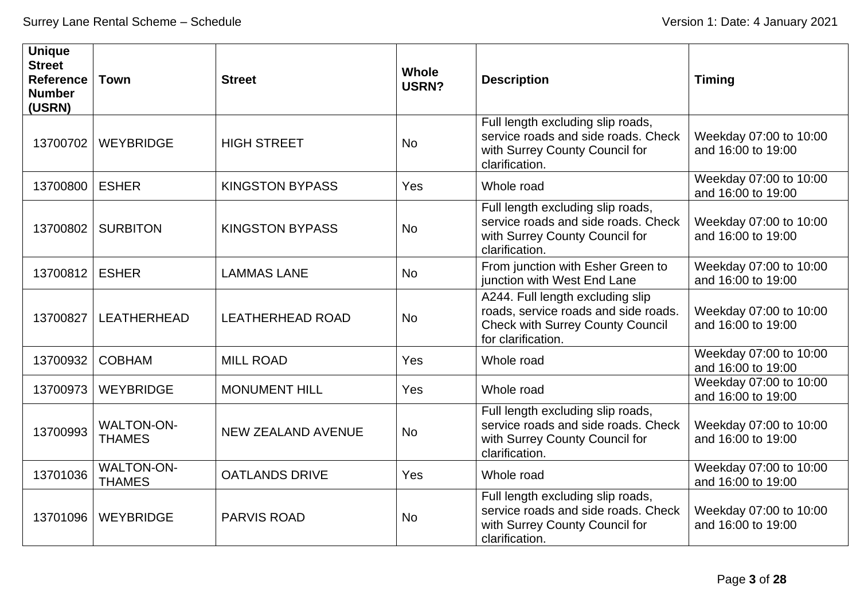| <b>Unique</b><br><b>Street</b><br><b>Reference</b><br><b>Number</b><br>(USRN) | <b>Town</b>                        | <b>Street</b>             | <b>Whole</b><br>USRN? | <b>Description</b>                                                                                                                        | <b>Timing</b>                                |
|-------------------------------------------------------------------------------|------------------------------------|---------------------------|-----------------------|-------------------------------------------------------------------------------------------------------------------------------------------|----------------------------------------------|
| 13700702                                                                      | <b>WEYBRIDGE</b>                   | <b>HIGH STREET</b>        | <b>No</b>             | Full length excluding slip roads,<br>service roads and side roads. Check<br>with Surrey County Council for<br>clarification.              | Weekday 07:00 to 10:00<br>and 16:00 to 19:00 |
| 13700800                                                                      | <b>ESHER</b>                       | <b>KINGSTON BYPASS</b>    | Yes                   | Whole road                                                                                                                                | Weekday 07:00 to 10:00<br>and 16:00 to 19:00 |
| 13700802                                                                      | <b>SURBITON</b>                    | <b>KINGSTON BYPASS</b>    | <b>No</b>             | Full length excluding slip roads,<br>service roads and side roads. Check<br>with Surrey County Council for<br>clarification.              | Weekday 07:00 to 10:00<br>and 16:00 to 19:00 |
| 13700812                                                                      | <b>ESHER</b>                       | <b>LAMMAS LANE</b>        | <b>No</b>             | From junction with Esher Green to<br>junction with West End Lane                                                                          | Weekday 07:00 to 10:00<br>and 16:00 to 19:00 |
| 13700827                                                                      | <b>LEATHERHEAD</b>                 | <b>LEATHERHEAD ROAD</b>   | <b>No</b>             | A244. Full length excluding slip<br>roads, service roads and side roads.<br><b>Check with Surrey County Council</b><br>for clarification. | Weekday 07:00 to 10:00<br>and 16:00 to 19:00 |
| 13700932                                                                      | <b>COBHAM</b>                      | <b>MILL ROAD</b>          | Yes                   | Whole road                                                                                                                                | Weekday 07:00 to 10:00<br>and 16:00 to 19:00 |
| 13700973                                                                      | <b>WEYBRIDGE</b>                   | <b>MONUMENT HILL</b>      | Yes                   | Whole road                                                                                                                                | Weekday 07:00 to 10:00<br>and 16:00 to 19:00 |
| 13700993                                                                      | <b>WALTON-ON-</b><br><b>THAMES</b> | <b>NEW ZEALAND AVENUE</b> | <b>No</b>             | Full length excluding slip roads,<br>service roads and side roads. Check<br>with Surrey County Council for<br>clarification.              | Weekday 07:00 to 10:00<br>and 16:00 to 19:00 |
| 13701036                                                                      | <b>WALTON-ON-</b><br><b>THAMES</b> | <b>OATLANDS DRIVE</b>     | Yes                   | Whole road                                                                                                                                | Weekday 07:00 to 10:00<br>and 16:00 to 19:00 |
| 13701096                                                                      | <b>WEYBRIDGE</b>                   | <b>PARVIS ROAD</b>        | <b>No</b>             | Full length excluding slip roads,<br>service roads and side roads. Check<br>with Surrey County Council for<br>clarification.              | Weekday 07:00 to 10:00<br>and 16:00 to 19:00 |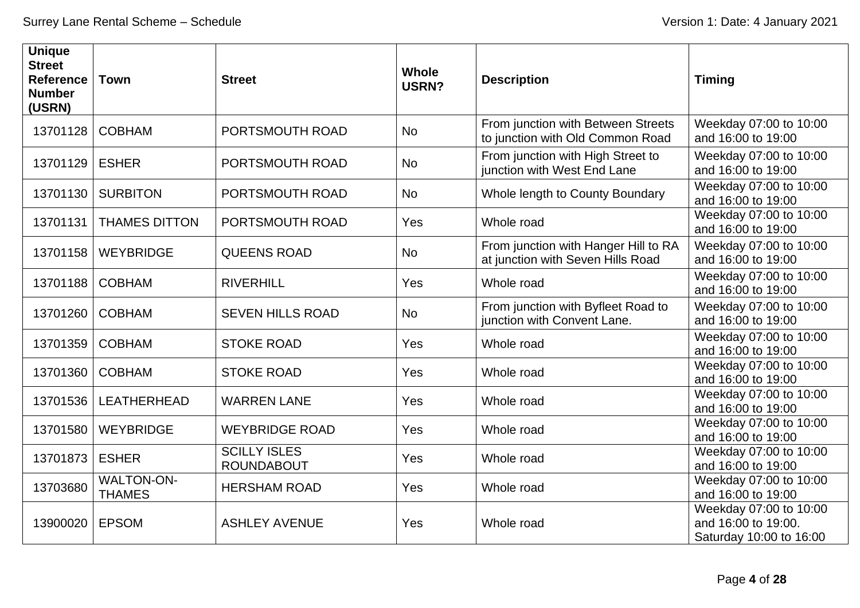| <b>Unique</b><br><b>Street</b><br><b>Reference</b><br><b>Number</b><br>(USRN) | <b>Town</b>                        | <b>Street</b>                            | <b>Whole</b><br>USRN? | <b>Description</b>                                                        | <b>Timing</b>                                                            |
|-------------------------------------------------------------------------------|------------------------------------|------------------------------------------|-----------------------|---------------------------------------------------------------------------|--------------------------------------------------------------------------|
| 13701128                                                                      | <b>COBHAM</b>                      | PORTSMOUTH ROAD                          | <b>No</b>             | From junction with Between Streets<br>to junction with Old Common Road    | Weekday 07:00 to 10:00<br>and 16:00 to 19:00                             |
| 13701129                                                                      | <b>ESHER</b>                       | PORTSMOUTH ROAD                          | <b>No</b>             | From junction with High Street to<br>junction with West End Lane          | Weekday 07:00 to 10:00<br>and 16:00 to 19:00                             |
| 13701130                                                                      | <b>SURBITON</b>                    | PORTSMOUTH ROAD                          | <b>No</b>             | Whole length to County Boundary                                           | Weekday 07:00 to 10:00<br>and 16:00 to 19:00                             |
| 13701131                                                                      | <b>THAMES DITTON</b>               | PORTSMOUTH ROAD                          | Yes                   | Whole road                                                                | Weekday 07:00 to 10:00<br>and 16:00 to 19:00                             |
| 13701158                                                                      | <b>WEYBRIDGE</b>                   | <b>QUEENS ROAD</b>                       | <b>No</b>             | From junction with Hanger Hill to RA<br>at junction with Seven Hills Road | Weekday 07:00 to 10:00<br>and 16:00 to 19:00                             |
| 13701188                                                                      | <b>COBHAM</b>                      | <b>RIVERHILL</b>                         | Yes                   | Whole road                                                                | Weekday 07:00 to 10:00<br>and 16:00 to 19:00                             |
| 13701260                                                                      | <b>COBHAM</b>                      | <b>SEVEN HILLS ROAD</b>                  | <b>No</b>             | From junction with Byfleet Road to<br>junction with Convent Lane.         | Weekday 07:00 to 10:00<br>and 16:00 to 19:00                             |
| 13701359                                                                      | <b>COBHAM</b>                      | <b>STOKE ROAD</b>                        | Yes                   | Whole road                                                                | Weekday 07:00 to 10:00<br>and 16:00 to 19:00                             |
| 13701360                                                                      | <b>COBHAM</b>                      | <b>STOKE ROAD</b>                        | Yes                   | Whole road                                                                | Weekday 07:00 to 10:00<br>and 16:00 to 19:00                             |
| 13701536                                                                      | LEATHERHEAD                        | <b>WARREN LANE</b>                       | Yes                   | Whole road                                                                | Weekday 07:00 to 10:00<br>and 16:00 to 19:00                             |
| 13701580                                                                      | <b>WEYBRIDGE</b>                   | <b>WEYBRIDGE ROAD</b>                    | Yes                   | Whole road                                                                | Weekday 07:00 to 10:00<br>and 16:00 to 19:00                             |
| 13701873                                                                      | <b>ESHER</b>                       | <b>SCILLY ISLES</b><br><b>ROUNDABOUT</b> | Yes                   | Whole road                                                                | Weekday 07:00 to 10:00<br>and 16:00 to 19:00                             |
| 13703680                                                                      | <b>WALTON-ON-</b><br><b>THAMES</b> | <b>HERSHAM ROAD</b>                      | Yes                   | Whole road                                                                | Weekday 07:00 to 10:00<br>and 16:00 to 19:00                             |
| 13900020                                                                      | <b>EPSOM</b>                       | <b>ASHLEY AVENUE</b>                     | Yes                   | Whole road                                                                | Weekday 07:00 to 10:00<br>and 16:00 to 19:00.<br>Saturday 10:00 to 16:00 |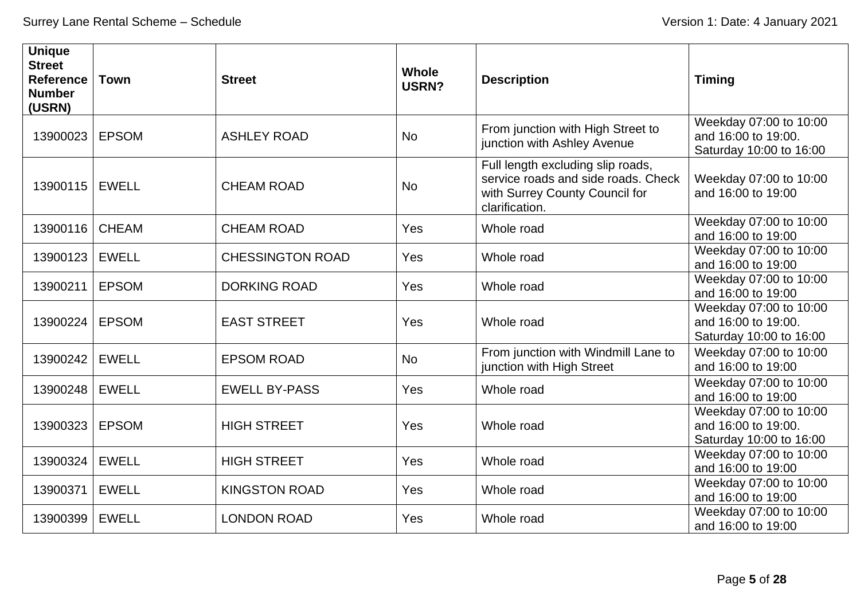| <b>Unique</b><br><b>Street</b><br><b>Reference</b><br><b>Number</b><br>(USRN) | <b>Town</b>  | <b>Street</b>           | Whole<br>USRN? | <b>Description</b>                                                                                                           | <b>Timing</b>                                                            |
|-------------------------------------------------------------------------------|--------------|-------------------------|----------------|------------------------------------------------------------------------------------------------------------------------------|--------------------------------------------------------------------------|
| 13900023                                                                      | <b>EPSOM</b> | <b>ASHLEY ROAD</b>      | <b>No</b>      | From junction with High Street to<br>junction with Ashley Avenue                                                             | Weekday 07:00 to 10:00<br>and 16:00 to 19:00.<br>Saturday 10:00 to 16:00 |
| 13900115                                                                      | <b>EWELL</b> | <b>CHEAM ROAD</b>       | <b>No</b>      | Full length excluding slip roads,<br>service roads and side roads. Check<br>with Surrey County Council for<br>clarification. | Weekday 07:00 to 10:00<br>and 16:00 to 19:00                             |
| 13900116                                                                      | <b>CHEAM</b> | <b>CHEAM ROAD</b>       | Yes            | Whole road                                                                                                                   | Weekday 07:00 to 10:00<br>and 16:00 to 19:00                             |
| 13900123                                                                      | <b>EWELL</b> | <b>CHESSINGTON ROAD</b> | Yes            | Whole road                                                                                                                   | Weekday 07:00 to 10:00<br>and 16:00 to 19:00                             |
| 13900211                                                                      | <b>EPSOM</b> | <b>DORKING ROAD</b>     | Yes            | Whole road                                                                                                                   | Weekday 07:00 to 10:00<br>and 16:00 to 19:00                             |
| 13900224                                                                      | <b>EPSOM</b> | <b>EAST STREET</b>      | Yes            | Whole road                                                                                                                   | Weekday 07:00 to 10:00<br>and 16:00 to 19:00.<br>Saturday 10:00 to 16:00 |
| 13900242                                                                      | <b>EWELL</b> | <b>EPSOM ROAD</b>       | <b>No</b>      | From junction with Windmill Lane to<br>junction with High Street                                                             | Weekday 07:00 to 10:00<br>and 16:00 to 19:00                             |
| 13900248                                                                      | <b>EWELL</b> | <b>EWELL BY-PASS</b>    | Yes            | Whole road                                                                                                                   | Weekday 07:00 to 10:00<br>and 16:00 to 19:00                             |
| 13900323                                                                      | <b>EPSOM</b> | <b>HIGH STREET</b>      | Yes            | Whole road                                                                                                                   | Weekday 07:00 to 10:00<br>and 16:00 to 19:00.<br>Saturday 10:00 to 16:00 |
| 13900324                                                                      | <b>EWELL</b> | <b>HIGH STREET</b>      | Yes            | Whole road                                                                                                                   | Weekday 07:00 to 10:00<br>and 16:00 to 19:00                             |
| 13900371                                                                      | <b>EWELL</b> | <b>KINGSTON ROAD</b>    | Yes            | Whole road                                                                                                                   | Weekday 07:00 to 10:00<br>and 16:00 to 19:00                             |
| 13900399                                                                      | <b>EWELL</b> | <b>LONDON ROAD</b>      | Yes            | Whole road                                                                                                                   | Weekday 07:00 to 10:00<br>and 16:00 to 19:00                             |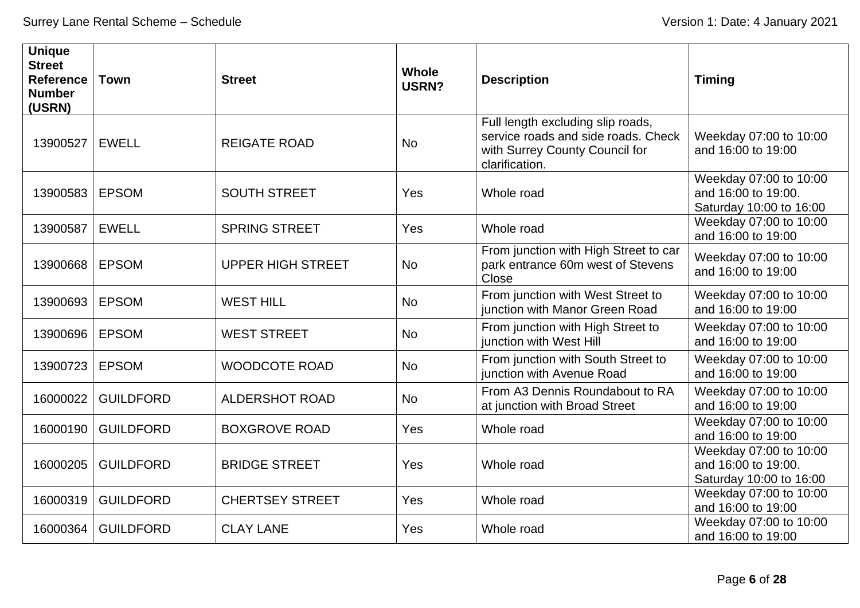| <b>Unique</b><br><b>Street</b><br><b>Reference</b><br><b>Number</b><br>(USRN) | <b>Town</b>      | <b>Street</b>            | <b>Whole</b><br><b>USRN?</b> | <b>Description</b>                                                                                                           | <b>Timing</b>                                                            |
|-------------------------------------------------------------------------------|------------------|--------------------------|------------------------------|------------------------------------------------------------------------------------------------------------------------------|--------------------------------------------------------------------------|
| 13900527                                                                      | <b>EWELL</b>     | <b>REIGATE ROAD</b>      | <b>No</b>                    | Full length excluding slip roads,<br>service roads and side roads. Check<br>with Surrey County Council for<br>clarification. | Weekday 07:00 to 10:00<br>and 16:00 to 19:00                             |
| 13900583                                                                      | <b>EPSOM</b>     | <b>SOUTH STREET</b>      | Yes                          | Whole road                                                                                                                   | Weekday 07:00 to 10:00<br>and 16:00 to 19:00.<br>Saturday 10:00 to 16:00 |
| 13900587                                                                      | <b>EWELL</b>     | <b>SPRING STREET</b>     | Yes                          | Whole road                                                                                                                   | Weekday 07:00 to 10:00<br>and 16:00 to 19:00                             |
| 13900668                                                                      | <b>EPSOM</b>     | <b>UPPER HIGH STREET</b> | <b>No</b>                    | From junction with High Street to car<br>park entrance 60m west of Stevens<br>Close                                          | Weekday 07:00 to 10:00<br>and 16:00 to 19:00                             |
| 13900693                                                                      | <b>EPSOM</b>     | <b>WEST HILL</b>         | <b>No</b>                    | From junction with West Street to<br>junction with Manor Green Road                                                          | Weekday 07:00 to 10:00<br>and 16:00 to 19:00                             |
| 13900696                                                                      | <b>EPSOM</b>     | <b>WEST STREET</b>       | <b>No</b>                    | From junction with High Street to<br>junction with West Hill                                                                 | Weekday 07:00 to 10:00<br>and 16:00 to 19:00                             |
| 13900723                                                                      | <b>EPSOM</b>     | <b>WOODCOTE ROAD</b>     | <b>No</b>                    | From junction with South Street to<br>junction with Avenue Road                                                              | Weekday 07:00 to 10:00<br>and 16:00 to 19:00                             |
| 16000022                                                                      | <b>GUILDFORD</b> | <b>ALDERSHOT ROAD</b>    | No                           | From A3 Dennis Roundabout to RA<br>at junction with Broad Street                                                             | Weekday 07:00 to 10:00<br>and 16:00 to 19:00                             |
| 16000190                                                                      | <b>GUILDFORD</b> | <b>BOXGROVE ROAD</b>     | Yes                          | Whole road                                                                                                                   | Weekday 07:00 to 10:00<br>and 16:00 to 19:00                             |
| 16000205                                                                      | <b>GUILDFORD</b> | <b>BRIDGE STREET</b>     | Yes                          | Whole road                                                                                                                   | Weekday 07:00 to 10:00<br>and 16:00 to 19:00.<br>Saturday 10:00 to 16:00 |
| 16000319                                                                      | <b>GUILDFORD</b> | <b>CHERTSEY STREET</b>   | Yes                          | Whole road                                                                                                                   | Weekday 07:00 to 10:00<br>and 16:00 to 19:00                             |
| 16000364                                                                      | <b>GUILDFORD</b> | <b>CLAY LANE</b>         | Yes                          | Whole road                                                                                                                   | Weekday 07:00 to 10:00<br>and 16:00 to 19:00                             |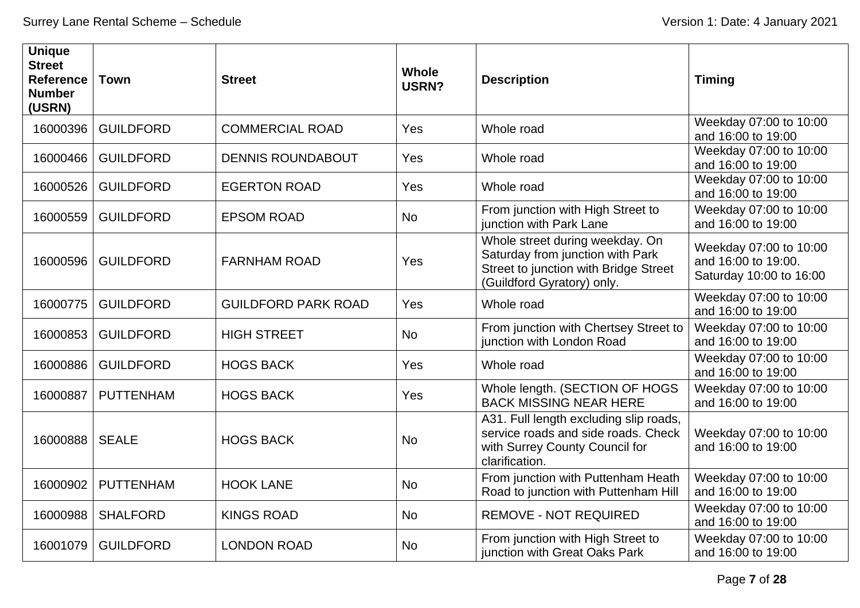| <b>Unique</b><br><b>Street</b><br><b>Reference</b><br><b>Number</b><br>(USRN) | <b>Town</b>      | <b>Street</b>              | <b>Whole</b><br><b>USRN?</b> | <b>Description</b>                                                                                                                         | <b>Timing</b>                                                            |
|-------------------------------------------------------------------------------|------------------|----------------------------|------------------------------|--------------------------------------------------------------------------------------------------------------------------------------------|--------------------------------------------------------------------------|
| 16000396                                                                      | <b>GUILDFORD</b> | <b>COMMERCIAL ROAD</b>     | Yes                          | Whole road                                                                                                                                 | Weekday 07:00 to 10:00<br>and 16:00 to 19:00                             |
| 16000466                                                                      | <b>GUILDFORD</b> | <b>DENNIS ROUNDABOUT</b>   | Yes                          | Whole road                                                                                                                                 | Weekday 07:00 to 10:00<br>and 16:00 to 19:00                             |
| 16000526                                                                      | <b>GUILDFORD</b> | <b>EGERTON ROAD</b>        | Yes                          | Whole road                                                                                                                                 | Weekday 07:00 to 10:00<br>and 16:00 to 19:00                             |
| 16000559                                                                      | <b>GUILDFORD</b> | <b>EPSOM ROAD</b>          | <b>No</b>                    | From junction with High Street to<br>junction with Park Lane                                                                               | Weekday 07:00 to 10:00<br>and 16:00 to 19:00                             |
| 16000596                                                                      | <b>GUILDFORD</b> | <b>FARNHAM ROAD</b>        | Yes                          | Whole street during weekday. On<br>Saturday from junction with Park<br>Street to junction with Bridge Street<br>(Guildford Gyratory) only. | Weekday 07:00 to 10:00<br>and 16:00 to 19:00.<br>Saturday 10:00 to 16:00 |
| 16000775                                                                      | <b>GUILDFORD</b> | <b>GUILDFORD PARK ROAD</b> | Yes                          | Whole road                                                                                                                                 | Weekday 07:00 to 10:00<br>and 16:00 to 19:00                             |
| 16000853                                                                      | <b>GUILDFORD</b> | <b>HIGH STREET</b>         | <b>No</b>                    | From junction with Chertsey Street to<br>junction with London Road                                                                         | Weekday 07:00 to 10:00<br>and 16:00 to 19:00                             |
| 16000886                                                                      | <b>GUILDFORD</b> | <b>HOGS BACK</b>           | Yes                          | Whole road                                                                                                                                 | Weekday 07:00 to 10:00<br>and 16:00 to 19:00                             |
| 16000887                                                                      | <b>PUTTENHAM</b> | <b>HOGS BACK</b>           | Yes                          | Whole length. (SECTION OF HOGS<br><b>BACK MISSING NEAR HERE</b>                                                                            | Weekday 07:00 to 10:00<br>and 16:00 to 19:00                             |
| 16000888                                                                      | <b>SEALE</b>     | <b>HOGS BACK</b>           | <b>No</b>                    | A31. Full length excluding slip roads,<br>service roads and side roads. Check<br>with Surrey County Council for<br>clarification.          | Weekday 07:00 to 10:00<br>and 16:00 to 19:00                             |
| 16000902                                                                      | <b>PUTTENHAM</b> | <b>HOOK LANE</b>           | <b>No</b>                    | From junction with Puttenham Heath<br>Road to junction with Puttenham Hill                                                                 | Weekday 07:00 to 10:00<br>and 16:00 to 19:00                             |
| 16000988                                                                      | <b>SHALFORD</b>  | <b>KINGS ROAD</b>          | <b>No</b>                    | <b>REMOVE - NOT REQUIRED</b>                                                                                                               | Weekday 07:00 to 10:00<br>and 16:00 to 19:00                             |
| 16001079                                                                      | <b>GUILDFORD</b> | <b>LONDON ROAD</b>         | <b>No</b>                    | From junction with High Street to<br>junction with Great Oaks Park                                                                         | Weekday 07:00 to 10:00<br>and 16:00 to 19:00                             |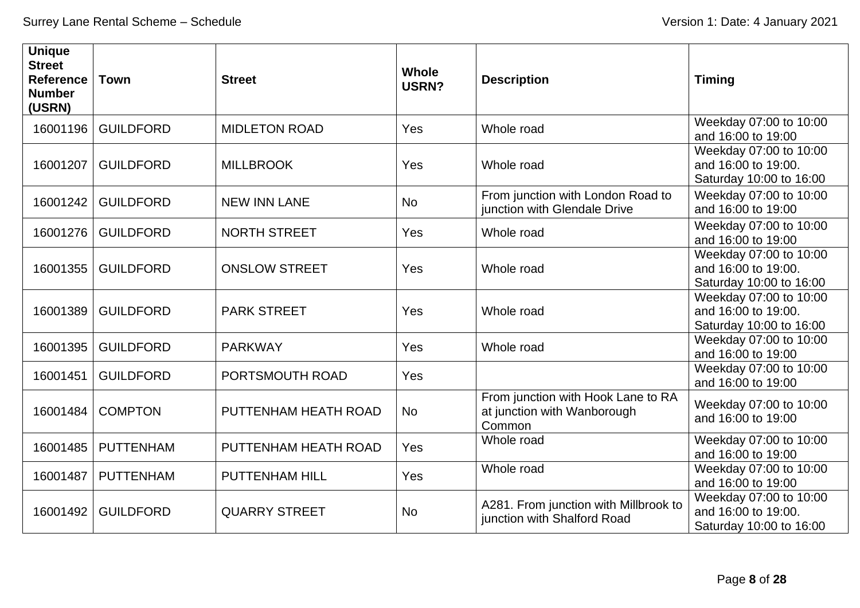| <b>Unique</b><br><b>Street</b><br><b>Reference</b><br><b>Number</b><br>(USRN) | <b>Town</b>      | <b>Street</b>         | <b>Whole</b><br><b>USRN?</b> | <b>Description</b>                                                          | <b>Timing</b>                                                            |
|-------------------------------------------------------------------------------|------------------|-----------------------|------------------------------|-----------------------------------------------------------------------------|--------------------------------------------------------------------------|
| 16001196                                                                      | <b>GUILDFORD</b> | <b>MIDLETON ROAD</b>  | Yes                          | Whole road                                                                  | Weekday 07:00 to 10:00<br>and 16:00 to 19:00                             |
| 16001207                                                                      | <b>GUILDFORD</b> | <b>MILLBROOK</b>      | Yes                          | Whole road                                                                  | Weekday 07:00 to 10:00<br>and 16:00 to 19:00.<br>Saturday 10:00 to 16:00 |
| 16001242                                                                      | <b>GUILDFORD</b> | <b>NEW INN LANE</b>   | <b>No</b>                    | From junction with London Road to<br>junction with Glendale Drive           | Weekday 07:00 to 10:00<br>and 16:00 to 19:00                             |
| 16001276                                                                      | <b>GUILDFORD</b> | <b>NORTH STREET</b>   | Yes                          | Whole road                                                                  | Weekday 07:00 to 10:00<br>and 16:00 to 19:00                             |
| 16001355                                                                      | <b>GUILDFORD</b> | <b>ONSLOW STREET</b>  | Yes                          | Whole road                                                                  | Weekday 07:00 to 10:00<br>and 16:00 to 19:00.<br>Saturday 10:00 to 16:00 |
| 16001389                                                                      | <b>GUILDFORD</b> | <b>PARK STREET</b>    | Yes                          | Whole road                                                                  | Weekday 07:00 to 10:00<br>and 16:00 to 19:00.<br>Saturday 10:00 to 16:00 |
| 16001395                                                                      | <b>GUILDFORD</b> | <b>PARKWAY</b>        | Yes                          | Whole road                                                                  | Weekday 07:00 to 10:00<br>and 16:00 to 19:00                             |
| 16001451                                                                      | <b>GUILDFORD</b> | PORTSMOUTH ROAD       | Yes                          |                                                                             | Weekday 07:00 to 10:00<br>and 16:00 to 19:00                             |
| 16001484                                                                      | <b>COMPTON</b>   | PUTTENHAM HEATH ROAD  | <b>No</b>                    | From junction with Hook Lane to RA<br>at junction with Wanborough<br>Common | Weekday 07:00 to 10:00<br>and 16:00 to 19:00                             |
| 16001485                                                                      | <b>PUTTENHAM</b> | PUTTENHAM HEATH ROAD  | Yes                          | Whole road                                                                  | Weekday 07:00 to 10:00<br>and 16:00 to 19:00                             |
| 16001487                                                                      | <b>PUTTENHAM</b> | <b>PUTTENHAM HILL</b> | Yes                          | Whole road                                                                  | Weekday 07:00 to 10:00<br>and 16:00 to 19:00                             |
| 16001492                                                                      | <b>GUILDFORD</b> | <b>QUARRY STREET</b>  | <b>No</b>                    | A281. From junction with Millbrook to<br>junction with Shalford Road        | Weekday 07:00 to 10:00<br>and 16:00 to 19:00.<br>Saturday 10:00 to 16:00 |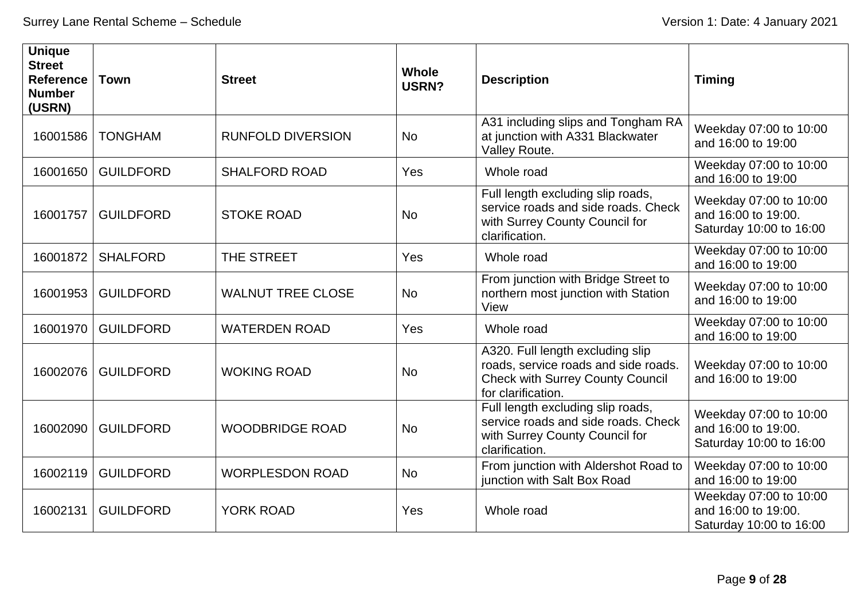| <b>Unique</b><br><b>Street</b><br><b>Reference</b><br><b>Number</b><br>(USRN) | <b>Town</b>      | <b>Street</b>            | <b>Whole</b><br>USRN? | <b>Description</b>                                                                                                                        | <b>Timing</b>                                                            |
|-------------------------------------------------------------------------------|------------------|--------------------------|-----------------------|-------------------------------------------------------------------------------------------------------------------------------------------|--------------------------------------------------------------------------|
| 16001586                                                                      | <b>TONGHAM</b>   | <b>RUNFOLD DIVERSION</b> | <b>No</b>             | A31 including slips and Tongham RA<br>at junction with A331 Blackwater<br>Valley Route.                                                   | Weekday 07:00 to 10:00<br>and 16:00 to 19:00                             |
| 16001650                                                                      | <b>GUILDFORD</b> | <b>SHALFORD ROAD</b>     | Yes                   | Whole road                                                                                                                                | Weekday 07:00 to 10:00<br>and 16:00 to 19:00                             |
| 16001757                                                                      | <b>GUILDFORD</b> | <b>STOKE ROAD</b>        | <b>No</b>             | Full length excluding slip roads,<br>service roads and side roads. Check<br>with Surrey County Council for<br>clarification.              | Weekday 07:00 to 10:00<br>and 16:00 to 19:00.<br>Saturday 10:00 to 16:00 |
| 16001872                                                                      | <b>SHALFORD</b>  | THE STREET               | Yes                   | Whole road                                                                                                                                | Weekday 07:00 to 10:00<br>and 16:00 to 19:00                             |
| 16001953                                                                      | <b>GUILDFORD</b> | <b>WALNUT TREE CLOSE</b> | <b>No</b>             | From junction with Bridge Street to<br>northern most junction with Station<br>View                                                        | Weekday 07:00 to 10:00<br>and 16:00 to 19:00                             |
| 16001970                                                                      | <b>GUILDFORD</b> | <b>WATERDEN ROAD</b>     | Yes                   | Whole road                                                                                                                                | Weekday 07:00 to 10:00<br>and 16:00 to 19:00                             |
| 16002076                                                                      | <b>GUILDFORD</b> | <b>WOKING ROAD</b>       | <b>No</b>             | A320. Full length excluding slip<br>roads, service roads and side roads.<br><b>Check with Surrey County Council</b><br>for clarification. | Weekday 07:00 to 10:00<br>and 16:00 to 19:00                             |
| 16002090                                                                      | <b>GUILDFORD</b> | <b>WOODBRIDGE ROAD</b>   | <b>No</b>             | Full length excluding slip roads,<br>service roads and side roads. Check<br>with Surrey County Council for<br>clarification.              | Weekday 07:00 to 10:00<br>and 16:00 to 19:00.<br>Saturday 10:00 to 16:00 |
| 16002119                                                                      | <b>GUILDFORD</b> | <b>WORPLESDON ROAD</b>   | <b>No</b>             | From junction with Aldershot Road to<br>junction with Salt Box Road                                                                       | Weekday 07:00 to 10:00<br>and 16:00 to 19:00                             |
| 16002131                                                                      | <b>GUILDFORD</b> | <b>YORK ROAD</b>         | Yes                   | Whole road                                                                                                                                | Weekday 07:00 to 10:00<br>and 16:00 to 19:00.<br>Saturday 10:00 to 16:00 |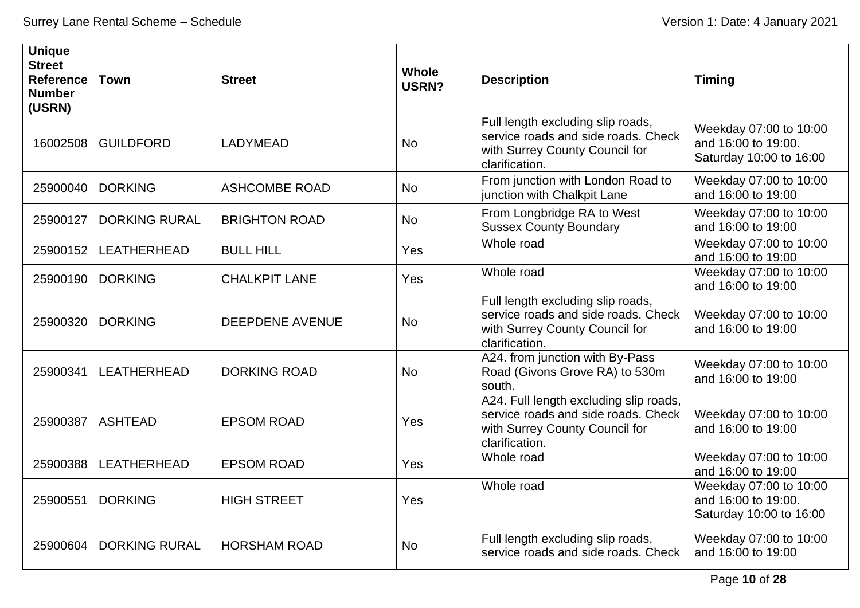| <b>Unique</b><br><b>Street</b><br><b>Reference</b><br><b>Number</b><br>(USRN) | <b>Town</b>          | <b>Street</b>          | <b>Whole</b><br>USRN? | <b>Description</b>                                                                                                                | <b>Timing</b>                                                            |
|-------------------------------------------------------------------------------|----------------------|------------------------|-----------------------|-----------------------------------------------------------------------------------------------------------------------------------|--------------------------------------------------------------------------|
| 16002508                                                                      | <b>GUILDFORD</b>     | <b>LADYMEAD</b>        | <b>No</b>             | Full length excluding slip roads,<br>service roads and side roads. Check<br>with Surrey County Council for<br>clarification.      | Weekday 07:00 to 10:00<br>and 16:00 to 19:00.<br>Saturday 10:00 to 16:00 |
| 25900040                                                                      | <b>DORKING</b>       | <b>ASHCOMBE ROAD</b>   | <b>No</b>             | From junction with London Road to<br>junction with Chalkpit Lane                                                                  | Weekday 07:00 to 10:00<br>and 16:00 to 19:00                             |
| 25900127                                                                      | <b>DORKING RURAL</b> | <b>BRIGHTON ROAD</b>   | <b>No</b>             | From Longbridge RA to West<br><b>Sussex County Boundary</b>                                                                       | Weekday 07:00 to 10:00<br>and 16:00 to 19:00                             |
| 25900152                                                                      | LEATHERHEAD          | <b>BULL HILL</b>       | Yes                   | Whole road                                                                                                                        | Weekday 07:00 to 10:00<br>and 16:00 to 19:00                             |
| 25900190                                                                      | <b>DORKING</b>       | <b>CHALKPIT LANE</b>   | Yes                   | Whole road                                                                                                                        | Weekday 07:00 to 10:00<br>and 16:00 to 19:00                             |
| 25900320                                                                      | <b>DORKING</b>       | <b>DEEPDENE AVENUE</b> | <b>No</b>             | Full length excluding slip roads,<br>service roads and side roads. Check<br>with Surrey County Council for<br>clarification.      | Weekday 07:00 to 10:00<br>and 16:00 to 19:00                             |
| 25900341                                                                      | LEATHERHEAD          | <b>DORKING ROAD</b>    | <b>No</b>             | A24. from junction with By-Pass<br>Road (Givons Grove RA) to 530m<br>south.                                                       | Weekday 07:00 to 10:00<br>and 16:00 to 19:00                             |
| 25900387                                                                      | <b>ASHTEAD</b>       | <b>EPSOM ROAD</b>      | Yes                   | A24. Full length excluding slip roads,<br>service roads and side roads. Check<br>with Surrey County Council for<br>clarification. | Weekday 07:00 to 10:00<br>and 16:00 to 19:00                             |
| 25900388                                                                      | <b>LEATHERHEAD</b>   | <b>EPSOM ROAD</b>      | Yes                   | Whole road                                                                                                                        | Weekday 07:00 to 10:00<br>and 16:00 to 19:00                             |
| 25900551                                                                      | <b>DORKING</b>       | <b>HIGH STREET</b>     | Yes                   | Whole road                                                                                                                        | Weekday 07:00 to 10:00<br>and 16:00 to 19:00.<br>Saturday 10:00 to 16:00 |
| 25900604                                                                      | <b>DORKING RURAL</b> | <b>HORSHAM ROAD</b>    | <b>No</b>             | Full length excluding slip roads,<br>service roads and side roads. Check                                                          | Weekday 07:00 to 10:00<br>and 16:00 to 19:00                             |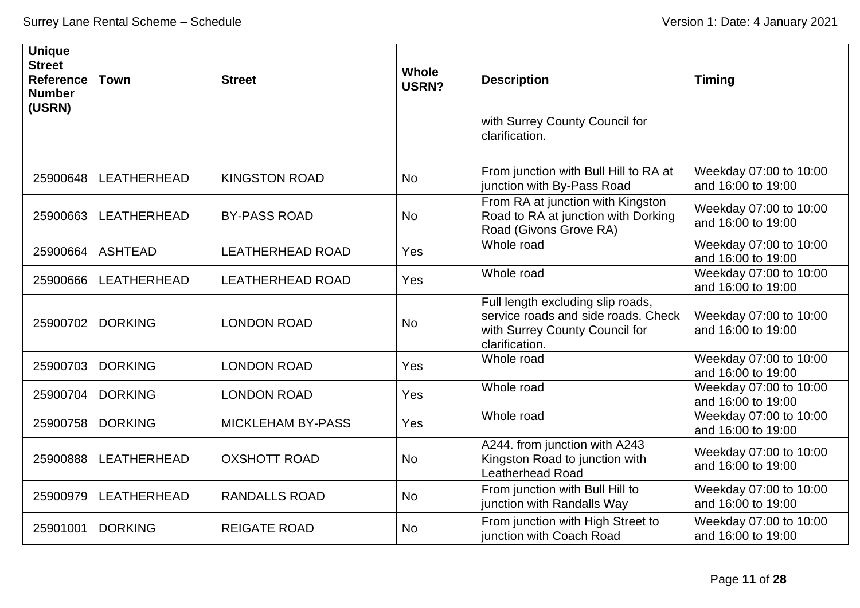| <b>Unique</b><br><b>Street</b><br><b>Reference</b><br><b>Number</b><br>(USRN) | <b>Town</b>    | <b>Street</b>            | <b>Whole</b><br><b>USRN?</b> | <b>Description</b>                                                                                                           | <b>Timing</b>                                |
|-------------------------------------------------------------------------------|----------------|--------------------------|------------------------------|------------------------------------------------------------------------------------------------------------------------------|----------------------------------------------|
|                                                                               |                |                          |                              | with Surrey County Council for<br>clarification.                                                                             |                                              |
| 25900648                                                                      | LEATHERHEAD    | <b>KINGSTON ROAD</b>     | <b>No</b>                    | From junction with Bull Hill to RA at<br>junction with By-Pass Road                                                          | Weekday 07:00 to 10:00<br>and 16:00 to 19:00 |
| 25900663                                                                      | LEATHERHEAD    | <b>BY-PASS ROAD</b>      | <b>No</b>                    | From RA at junction with Kingston<br>Road to RA at junction with Dorking<br>Road (Givons Grove RA)                           | Weekday 07:00 to 10:00<br>and 16:00 to 19:00 |
| 25900664                                                                      | <b>ASHTEAD</b> | <b>LEATHERHEAD ROAD</b>  | Yes                          | Whole road                                                                                                                   | Weekday 07:00 to 10:00<br>and 16:00 to 19:00 |
| 25900666                                                                      | LEATHERHEAD    | <b>LEATHERHEAD ROAD</b>  | Yes                          | Whole road                                                                                                                   | Weekday 07:00 to 10:00<br>and 16:00 to 19:00 |
| 25900702                                                                      | <b>DORKING</b> | <b>LONDON ROAD</b>       | <b>No</b>                    | Full length excluding slip roads,<br>service roads and side roads. Check<br>with Surrey County Council for<br>clarification. | Weekday 07:00 to 10:00<br>and 16:00 to 19:00 |
| 25900703                                                                      | <b>DORKING</b> | <b>LONDON ROAD</b>       | Yes                          | Whole road                                                                                                                   | Weekday 07:00 to 10:00<br>and 16:00 to 19:00 |
| 25900704                                                                      | <b>DORKING</b> | <b>LONDON ROAD</b>       | Yes                          | Whole road                                                                                                                   | Weekday 07:00 to 10:00<br>and 16:00 to 19:00 |
| 25900758                                                                      | <b>DORKING</b> | <b>MICKLEHAM BY-PASS</b> | Yes                          | Whole road                                                                                                                   | Weekday 07:00 to 10:00<br>and 16:00 to 19:00 |
| 25900888                                                                      | LEATHERHEAD    | <b>OXSHOTT ROAD</b>      | <b>No</b>                    | A244. from junction with A243<br>Kingston Road to junction with<br><b>Leatherhead Road</b>                                   | Weekday 07:00 to 10:00<br>and 16:00 to 19:00 |
| 25900979                                                                      | LEATHERHEAD    | <b>RANDALLS ROAD</b>     | <b>No</b>                    | From junction with Bull Hill to<br>junction with Randalls Way                                                                | Weekday 07:00 to 10:00<br>and 16:00 to 19:00 |
| 25901001                                                                      | <b>DORKING</b> | <b>REIGATE ROAD</b>      | No                           | From junction with High Street to<br>junction with Coach Road                                                                | Weekday 07:00 to 10:00<br>and 16:00 to 19:00 |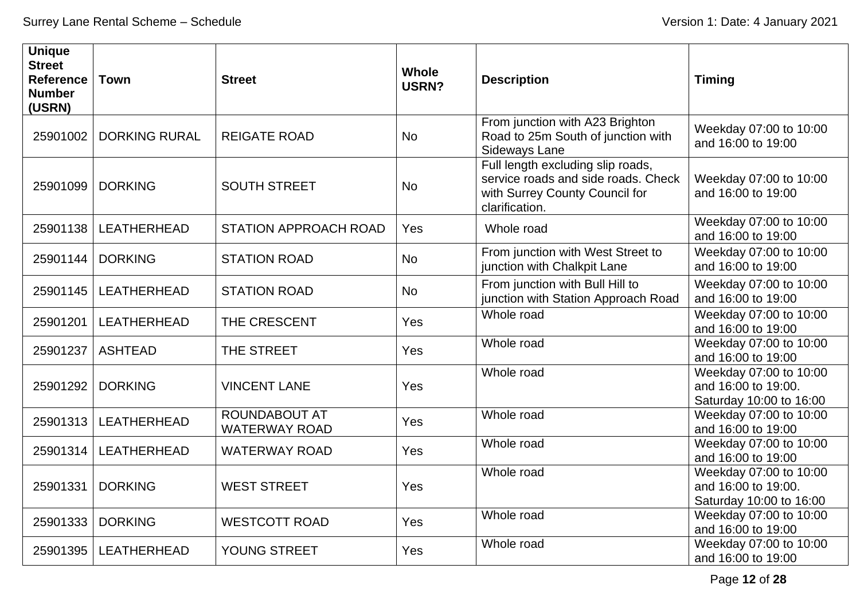| <b>Unique</b><br><b>Street</b><br><b>Reference</b><br><b>Number</b><br>(USRN) | <b>Town</b>          | <b>Street</b>                                | <b>Whole</b><br><b>USRN?</b> | <b>Description</b>                                                                                                           | <b>Timing</b>                                                            |
|-------------------------------------------------------------------------------|----------------------|----------------------------------------------|------------------------------|------------------------------------------------------------------------------------------------------------------------------|--------------------------------------------------------------------------|
| 25901002                                                                      | <b>DORKING RURAL</b> | <b>REIGATE ROAD</b>                          | <b>No</b>                    | From junction with A23 Brighton<br>Road to 25m South of junction with<br>Sideways Lane                                       | Weekday 07:00 to 10:00<br>and 16:00 to 19:00                             |
| 25901099                                                                      | <b>DORKING</b>       | <b>SOUTH STREET</b>                          | <b>No</b>                    | Full length excluding slip roads,<br>service roads and side roads. Check<br>with Surrey County Council for<br>clarification. | Weekday 07:00 to 10:00<br>and 16:00 to 19:00                             |
| 25901138                                                                      | LEATHERHEAD          | <b>STATION APPROACH ROAD</b>                 | Yes                          | Whole road                                                                                                                   | Weekday 07:00 to 10:00<br>and 16:00 to 19:00                             |
| 25901144                                                                      | <b>DORKING</b>       | <b>STATION ROAD</b>                          | <b>No</b>                    | From junction with West Street to<br>junction with Chalkpit Lane                                                             | Weekday 07:00 to 10:00<br>and 16:00 to 19:00                             |
| 25901145                                                                      | LEATHERHEAD          | <b>STATION ROAD</b>                          | No                           | From junction with Bull Hill to<br>junction with Station Approach Road                                                       | Weekday 07:00 to 10:00<br>and 16:00 to 19:00                             |
| 25901201                                                                      | LEATHERHEAD          | THE CRESCENT                                 | Yes                          | Whole road                                                                                                                   | Weekday 07:00 to 10:00<br>and 16:00 to 19:00                             |
| 25901237                                                                      | <b>ASHTEAD</b>       | THE STREET                                   | Yes                          | Whole road                                                                                                                   | Weekday 07:00 to 10:00<br>and 16:00 to 19:00                             |
| 25901292                                                                      | <b>DORKING</b>       | <b>VINCENT LANE</b>                          | Yes                          | Whole road                                                                                                                   | Weekday 07:00 to 10:00<br>and 16:00 to 19:00.<br>Saturday 10:00 to 16:00 |
| 25901313                                                                      | <b>LEATHERHEAD</b>   | <b>ROUNDABOUT AT</b><br><b>WATERWAY ROAD</b> | Yes                          | Whole road                                                                                                                   | Weekday 07:00 to 10:00<br>and 16:00 to 19:00                             |
| 25901314                                                                      | LEATHERHEAD          | <b>WATERWAY ROAD</b>                         | Yes                          | Whole road                                                                                                                   | Weekday 07:00 to 10:00<br>and 16:00 to 19:00                             |
| 25901331                                                                      | <b>DORKING</b>       | <b>WEST STREET</b>                           | Yes                          | Whole road                                                                                                                   | Weekday 07:00 to 10:00<br>and 16:00 to 19:00.<br>Saturday 10:00 to 16:00 |
| 25901333                                                                      | <b>DORKING</b>       | <b>WESTCOTT ROAD</b>                         | Yes                          | Whole road                                                                                                                   | Weekday 07:00 to 10:00<br>and 16:00 to 19:00                             |
| 25901395                                                                      | LEATHERHEAD          | YOUNG STREET                                 | Yes                          | Whole road                                                                                                                   | Weekday 07:00 to 10:00<br>and 16:00 to 19:00                             |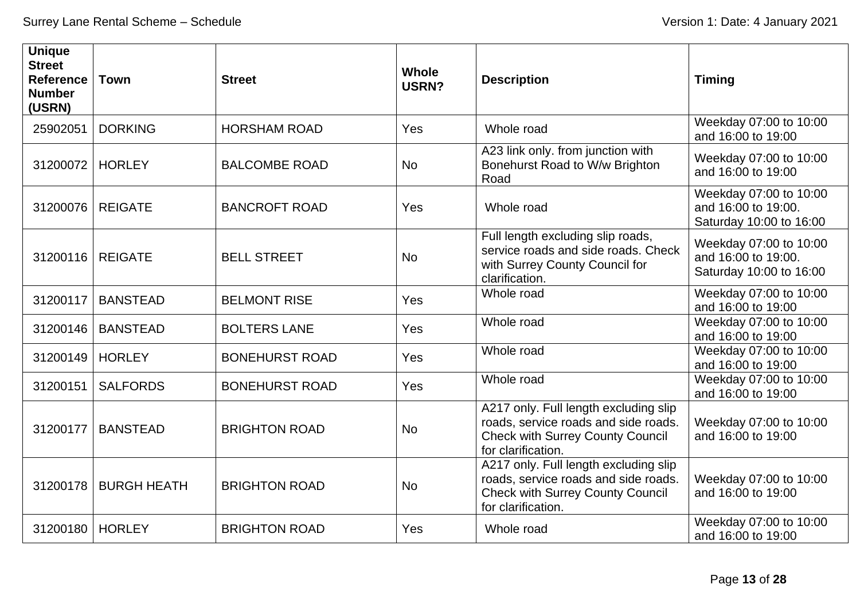| <b>Unique</b><br><b>Street</b><br><b>Reference</b><br><b>Number</b><br>(USRN) | <b>Town</b>        | <b>Street</b>         | <b>Whole</b><br>USRN? | <b>Description</b>                                                                                                                             | <b>Timing</b>                                                            |
|-------------------------------------------------------------------------------|--------------------|-----------------------|-----------------------|------------------------------------------------------------------------------------------------------------------------------------------------|--------------------------------------------------------------------------|
| 25902051                                                                      | <b>DORKING</b>     | <b>HORSHAM ROAD</b>   | Yes                   | Whole road                                                                                                                                     | Weekday 07:00 to 10:00<br>and 16:00 to 19:00                             |
| 31200072                                                                      | <b>HORLEY</b>      | <b>BALCOMBE ROAD</b>  | <b>No</b>             | A23 link only. from junction with<br>Bonehurst Road to W/w Brighton<br>Road                                                                    | Weekday 07:00 to 10:00<br>and 16:00 to 19:00                             |
| 31200076                                                                      | <b>REIGATE</b>     | <b>BANCROFT ROAD</b>  | Yes                   | Whole road                                                                                                                                     | Weekday 07:00 to 10:00<br>and 16:00 to 19:00.<br>Saturday 10:00 to 16:00 |
| 31200116                                                                      | <b>REIGATE</b>     | <b>BELL STREET</b>    | <b>No</b>             | Full length excluding slip roads,<br>service roads and side roads. Check<br>with Surrey County Council for<br>clarification.                   | Weekday 07:00 to 10:00<br>and 16:00 to 19:00.<br>Saturday 10:00 to 16:00 |
| 31200117                                                                      | <b>BANSTEAD</b>    | <b>BELMONT RISE</b>   | Yes                   | Whole road                                                                                                                                     | Weekday 07:00 to 10:00<br>and 16:00 to 19:00                             |
| 31200146                                                                      | <b>BANSTEAD</b>    | <b>BOLTERS LANE</b>   | Yes                   | Whole road                                                                                                                                     | Weekday 07:00 to 10:00<br>and 16:00 to 19:00                             |
| 31200149                                                                      | <b>HORLEY</b>      | <b>BONEHURST ROAD</b> | Yes                   | Whole road                                                                                                                                     | Weekday 07:00 to 10:00<br>and 16:00 to 19:00                             |
| 31200151                                                                      | <b>SALFORDS</b>    | <b>BONEHURST ROAD</b> | Yes                   | Whole road                                                                                                                                     | Weekday 07:00 to 10:00<br>and 16:00 to 19:00                             |
| 31200177                                                                      | <b>BANSTEAD</b>    | <b>BRIGHTON ROAD</b>  | <b>No</b>             | A217 only. Full length excluding slip<br>roads, service roads and side roads.<br><b>Check with Surrey County Council</b><br>for clarification. | Weekday 07:00 to 10:00<br>and 16:00 to 19:00                             |
| 31200178                                                                      | <b>BURGH HEATH</b> | <b>BRIGHTON ROAD</b>  | <b>No</b>             | A217 only. Full length excluding slip<br>roads, service roads and side roads.<br><b>Check with Surrey County Council</b><br>for clarification. | Weekday 07:00 to 10:00<br>and 16:00 to 19:00                             |
| 31200180                                                                      | <b>HORLEY</b>      | <b>BRIGHTON ROAD</b>  | Yes                   | Whole road                                                                                                                                     | Weekday 07:00 to 10:00<br>and 16:00 to 19:00                             |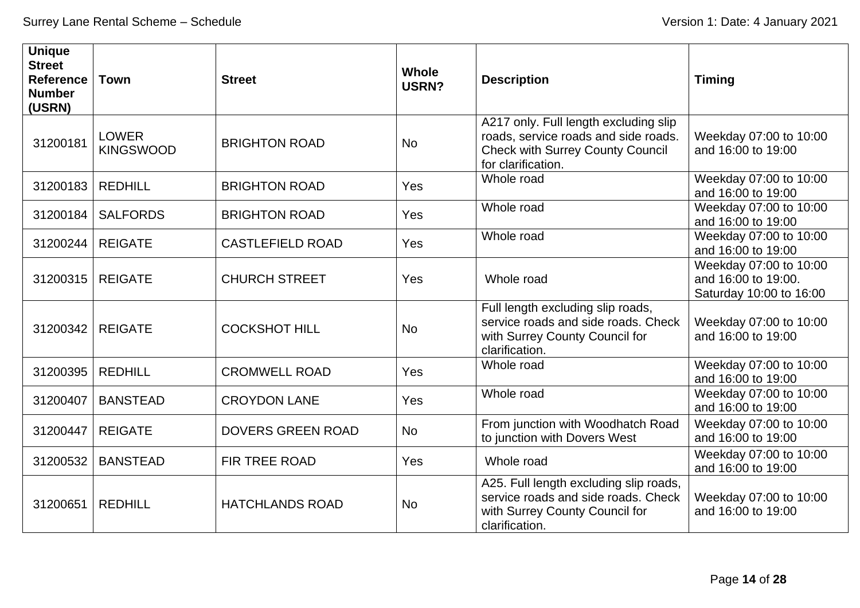| <b>Unique</b><br><b>Street</b><br><b>Reference</b><br><b>Number</b><br>(USRN) | <b>Town</b>                      | <b>Street</b>            | <b>Whole</b><br>USRN? | <b>Description</b>                                                                                                                             | <b>Timing</b>                                                            |
|-------------------------------------------------------------------------------|----------------------------------|--------------------------|-----------------------|------------------------------------------------------------------------------------------------------------------------------------------------|--------------------------------------------------------------------------|
| 31200181                                                                      | <b>LOWER</b><br><b>KINGSWOOD</b> | <b>BRIGHTON ROAD</b>     | <b>No</b>             | A217 only. Full length excluding slip<br>roads, service roads and side roads.<br><b>Check with Surrey County Council</b><br>for clarification. | Weekday 07:00 to 10:00<br>and 16:00 to 19:00                             |
| 31200183                                                                      | <b>REDHILL</b>                   | <b>BRIGHTON ROAD</b>     | Yes                   | Whole road                                                                                                                                     | Weekday 07:00 to 10:00<br>and 16:00 to 19:00                             |
| 31200184                                                                      | <b>SALFORDS</b>                  | <b>BRIGHTON ROAD</b>     | Yes                   | Whole road                                                                                                                                     | Weekday 07:00 to 10:00<br>and 16:00 to 19:00                             |
| 31200244                                                                      | <b>REIGATE</b>                   | <b>CASTLEFIELD ROAD</b>  | Yes                   | Whole road                                                                                                                                     | Weekday 07:00 to 10:00<br>and 16:00 to 19:00                             |
| 31200315                                                                      | <b>REIGATE</b>                   | <b>CHURCH STREET</b>     | Yes                   | Whole road                                                                                                                                     | Weekday 07:00 to 10:00<br>and 16:00 to 19:00.<br>Saturday 10:00 to 16:00 |
| 31200342                                                                      | <b>REIGATE</b>                   | <b>COCKSHOT HILL</b>     | <b>No</b>             | Full length excluding slip roads,<br>service roads and side roads. Check<br>with Surrey County Council for<br>clarification.                   | Weekday 07:00 to 10:00<br>and 16:00 to 19:00                             |
| 31200395                                                                      | <b>REDHILL</b>                   | <b>CROMWELL ROAD</b>     | Yes                   | Whole road                                                                                                                                     | Weekday 07:00 to 10:00<br>and 16:00 to 19:00                             |
| 31200407                                                                      | <b>BANSTEAD</b>                  | <b>CROYDON LANE</b>      | Yes                   | Whole road                                                                                                                                     | Weekday 07:00 to 10:00<br>and 16:00 to 19:00                             |
| 31200447                                                                      | <b>REIGATE</b>                   | <b>DOVERS GREEN ROAD</b> | <b>No</b>             | From junction with Woodhatch Road<br>to junction with Dovers West                                                                              | Weekday 07:00 to 10:00<br>and 16:00 to 19:00                             |
| 31200532                                                                      | <b>BANSTEAD</b>                  | FIR TREE ROAD            | Yes                   | Whole road                                                                                                                                     | Weekday 07:00 to 10:00<br>and 16:00 to 19:00                             |
| 31200651                                                                      | <b>REDHILL</b>                   | <b>HATCHLANDS ROAD</b>   | <b>No</b>             | A25. Full length excluding slip roads,<br>service roads and side roads. Check<br>with Surrey County Council for<br>clarification.              | Weekday 07:00 to 10:00<br>and 16:00 to 19:00                             |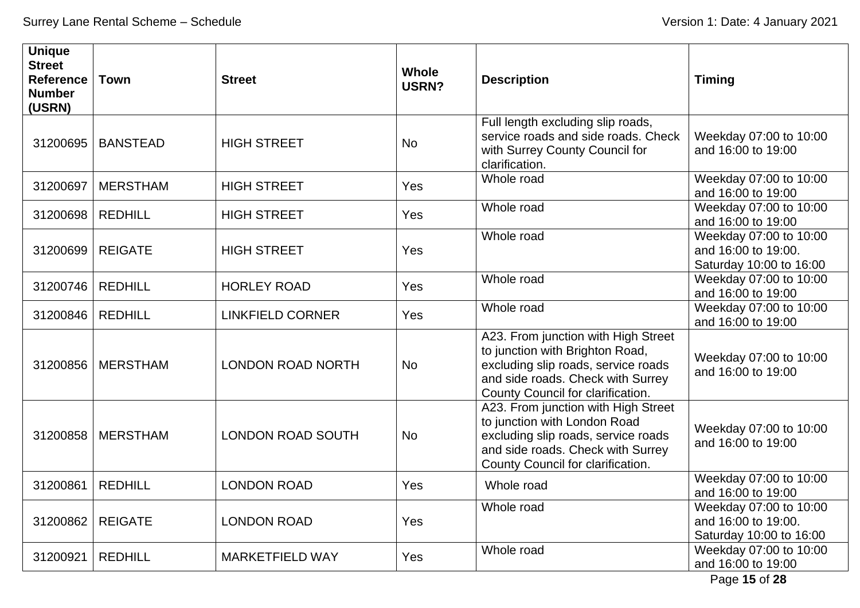| <b>Unique</b><br><b>Street</b><br><b>Reference</b><br><b>Number</b><br>(USRN) | <b>Town</b>     | <b>Street</b>            | <b>Whole</b><br>USRN? | <b>Description</b>                                                                                                                                                                      | <b>Timing</b>                                                            |
|-------------------------------------------------------------------------------|-----------------|--------------------------|-----------------------|-----------------------------------------------------------------------------------------------------------------------------------------------------------------------------------------|--------------------------------------------------------------------------|
| 31200695                                                                      | <b>BANSTEAD</b> | <b>HIGH STREET</b>       | <b>No</b>             | Full length excluding slip roads,<br>service roads and side roads. Check<br>with Surrey County Council for<br>clarification.                                                            | Weekday 07:00 to 10:00<br>and 16:00 to 19:00                             |
| 31200697                                                                      | <b>MERSTHAM</b> | <b>HIGH STREET</b>       | Yes                   | Whole road                                                                                                                                                                              | Weekday 07:00 to 10:00<br>and 16:00 to 19:00                             |
| 31200698                                                                      | <b>REDHILL</b>  | <b>HIGH STREET</b>       | Yes                   | Whole road                                                                                                                                                                              | Weekday 07:00 to 10:00<br>and 16:00 to 19:00                             |
| 31200699                                                                      | <b>REIGATE</b>  | <b>HIGH STREET</b>       | Yes                   | Whole road                                                                                                                                                                              | Weekday 07:00 to 10:00<br>and 16:00 to 19:00.<br>Saturday 10:00 to 16:00 |
| 31200746                                                                      | <b>REDHILL</b>  | <b>HORLEY ROAD</b>       | Yes                   | Whole road                                                                                                                                                                              | Weekday 07:00 to 10:00<br>and 16:00 to 19:00                             |
| 31200846                                                                      | <b>REDHILL</b>  | <b>LINKFIELD CORNER</b>  | Yes                   | Whole road                                                                                                                                                                              | Weekday 07:00 to 10:00<br>and 16:00 to 19:00                             |
| 31200856                                                                      | <b>MERSTHAM</b> | <b>LONDON ROAD NORTH</b> | <b>No</b>             | A23. From junction with High Street<br>to junction with Brighton Road,<br>excluding slip roads, service roads<br>and side roads. Check with Surrey<br>County Council for clarification. | Weekday 07:00 to 10:00<br>and 16:00 to 19:00                             |
| 31200858                                                                      | <b>MERSTHAM</b> | <b>LONDON ROAD SOUTH</b> | <b>No</b>             | A23. From junction with High Street<br>to junction with London Road<br>excluding slip roads, service roads<br>and side roads. Check with Surrey<br>County Council for clarification.    | Weekday 07:00 to 10:00<br>and 16:00 to 19:00                             |
| 31200861                                                                      | <b>REDHILL</b>  | <b>LONDON ROAD</b>       | Yes                   | Whole road                                                                                                                                                                              | Weekday 07:00 to 10:00<br>and 16:00 to 19:00                             |
| 31200862                                                                      | <b>REIGATE</b>  | <b>LONDON ROAD</b>       | <b>Yes</b>            | Whole road                                                                                                                                                                              | Weekday 07:00 to 10:00<br>and 16:00 to 19:00.<br>Saturday 10:00 to 16:00 |
| 31200921                                                                      | <b>REDHILL</b>  | <b>MARKETFIELD WAY</b>   | Yes                   | Whole road                                                                                                                                                                              | Weekday 07:00 to 10:00<br>and 16:00 to 19:00                             |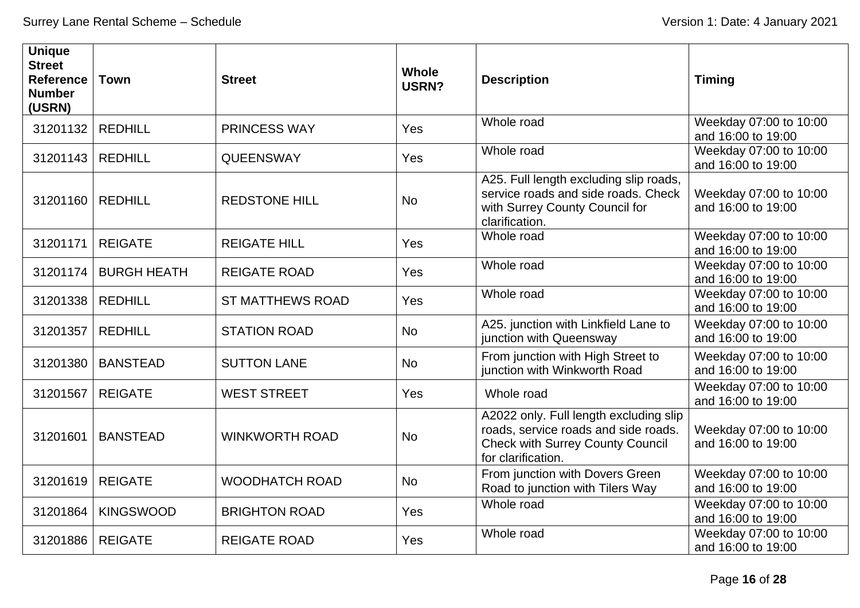| <b>Unique</b><br><b>Street</b><br><b>Reference</b><br><b>Number</b><br>(USRN) | <b>Town</b>        | <b>Street</b>           | <b>Whole</b><br>USRN? | <b>Description</b>                                                                                                                              | <b>Timing</b>                                |
|-------------------------------------------------------------------------------|--------------------|-------------------------|-----------------------|-------------------------------------------------------------------------------------------------------------------------------------------------|----------------------------------------------|
| 31201132                                                                      | <b>REDHILL</b>     | <b>PRINCESS WAY</b>     | Yes                   | Whole road                                                                                                                                      | Weekday 07:00 to 10:00<br>and 16:00 to 19:00 |
| 31201143                                                                      | <b>REDHILL</b>     | <b>QUEENSWAY</b>        | Yes                   | Whole road                                                                                                                                      | Weekday 07:00 to 10:00<br>and 16:00 to 19:00 |
| 31201160                                                                      | <b>REDHILL</b>     | <b>REDSTONE HILL</b>    | <b>No</b>             | A25. Full length excluding slip roads,<br>service roads and side roads. Check<br>with Surrey County Council for<br>clarification.               | Weekday 07:00 to 10:00<br>and 16:00 to 19:00 |
| 31201171                                                                      | <b>REIGATE</b>     | <b>REIGATE HILL</b>     | Yes                   | Whole road                                                                                                                                      | Weekday 07:00 to 10:00<br>and 16:00 to 19:00 |
| 31201174                                                                      | <b>BURGH HEATH</b> | <b>REIGATE ROAD</b>     | Yes                   | Whole road                                                                                                                                      | Weekday 07:00 to 10:00<br>and 16:00 to 19:00 |
| 31201338                                                                      | <b>REDHILL</b>     | <b>ST MATTHEWS ROAD</b> | Yes                   | Whole road                                                                                                                                      | Weekday 07:00 to 10:00<br>and 16:00 to 19:00 |
| 31201357                                                                      | <b>REDHILL</b>     | <b>STATION ROAD</b>     | <b>No</b>             | A25. junction with Linkfield Lane to<br>junction with Queensway                                                                                 | Weekday 07:00 to 10:00<br>and 16:00 to 19:00 |
| 31201380                                                                      | <b>BANSTEAD</b>    | <b>SUTTON LANE</b>      | <b>No</b>             | From junction with High Street to<br>junction with Winkworth Road                                                                               | Weekday 07:00 to 10:00<br>and 16:00 to 19:00 |
| 31201567                                                                      | <b>REIGATE</b>     | <b>WEST STREET</b>      | Yes                   | Whole road                                                                                                                                      | Weekday 07:00 to 10:00<br>and 16:00 to 19:00 |
| 31201601                                                                      | <b>BANSTEAD</b>    | <b>WINKWORTH ROAD</b>   | <b>No</b>             | A2022 only. Full length excluding slip<br>roads, service roads and side roads.<br><b>Check with Surrey County Council</b><br>for clarification. | Weekday 07:00 to 10:00<br>and 16:00 to 19:00 |
| 31201619                                                                      | <b>REIGATE</b>     | <b>WOODHATCH ROAD</b>   | <b>No</b>             | From junction with Dovers Green<br>Road to junction with Tilers Way                                                                             | Weekday 07:00 to 10:00<br>and 16:00 to 19:00 |
| 31201864                                                                      | <b>KINGSWOOD</b>   | <b>BRIGHTON ROAD</b>    | Yes                   | Whole road                                                                                                                                      | Weekday 07:00 to 10:00<br>and 16:00 to 19:00 |
| 31201886                                                                      | <b>REIGATE</b>     | <b>REIGATE ROAD</b>     | Yes                   | Whole road                                                                                                                                      | Weekday 07:00 to 10:00<br>and 16:00 to 19:00 |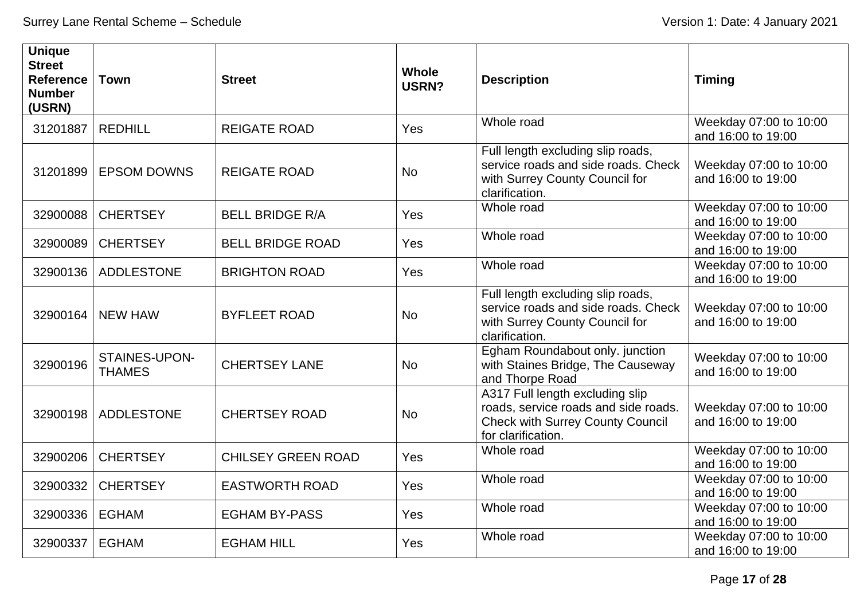| <b>Unique</b><br><b>Street</b><br><b>Reference</b><br><b>Number</b><br>(USRN) | <b>Town</b>                    | <b>Street</b>             | <b>Whole</b><br>USRN? | <b>Description</b>                                                                                                                       | <b>Timing</b>                                |
|-------------------------------------------------------------------------------|--------------------------------|---------------------------|-----------------------|------------------------------------------------------------------------------------------------------------------------------------------|----------------------------------------------|
| 31201887                                                                      | <b>REDHILL</b>                 | <b>REIGATE ROAD</b>       | Yes                   | Whole road                                                                                                                               | Weekday 07:00 to 10:00<br>and 16:00 to 19:00 |
| 31201899                                                                      | <b>EPSOM DOWNS</b>             | <b>REIGATE ROAD</b>       | <b>No</b>             | Full length excluding slip roads,<br>service roads and side roads. Check<br>with Surrey County Council for<br>clarification.             | Weekday 07:00 to 10:00<br>and 16:00 to 19:00 |
| 32900088                                                                      | <b>CHERTSEY</b>                | <b>BELL BRIDGE R/A</b>    | Yes                   | Whole road                                                                                                                               | Weekday 07:00 to 10:00<br>and 16:00 to 19:00 |
| 32900089                                                                      | <b>CHERTSEY</b>                | <b>BELL BRIDGE ROAD</b>   | Yes                   | Whole road                                                                                                                               | Weekday 07:00 to 10:00<br>and 16:00 to 19:00 |
| 32900136                                                                      | ADDLESTONE                     | <b>BRIGHTON ROAD</b>      | Yes                   | Whole road                                                                                                                               | Weekday 07:00 to 10:00<br>and 16:00 to 19:00 |
| 32900164                                                                      | <b>NEW HAW</b>                 | <b>BYFLEET ROAD</b>       | <b>No</b>             | Full length excluding slip roads,<br>service roads and side roads. Check<br>with Surrey County Council for<br>clarification.             | Weekday 07:00 to 10:00<br>and 16:00 to 19:00 |
| 32900196                                                                      | STAINES-UPON-<br><b>THAMES</b> | <b>CHERTSEY LANE</b>      | <b>No</b>             | Egham Roundabout only. junction<br>with Staines Bridge, The Causeway<br>and Thorpe Road                                                  | Weekday 07:00 to 10:00<br>and 16:00 to 19:00 |
| 32900198                                                                      | <b>ADDLESTONE</b>              | <b>CHERTSEY ROAD</b>      | <b>No</b>             | A317 Full length excluding slip<br>roads, service roads and side roads.<br><b>Check with Surrey County Council</b><br>for clarification. | Weekday 07:00 to 10:00<br>and 16:00 to 19:00 |
| 32900206                                                                      | <b>CHERTSEY</b>                | <b>CHILSEY GREEN ROAD</b> | Yes                   | Whole road                                                                                                                               | Weekday 07:00 to 10:00<br>and 16:00 to 19:00 |
| 32900332                                                                      | <b>CHERTSEY</b>                | <b>EASTWORTH ROAD</b>     | Yes                   | Whole road                                                                                                                               | Weekday 07:00 to 10:00<br>and 16:00 to 19:00 |
| 32900336                                                                      | <b>EGHAM</b>                   | <b>EGHAM BY-PASS</b>      | Yes                   | Whole road                                                                                                                               | Weekday 07:00 to 10:00<br>and 16:00 to 19:00 |
| 32900337                                                                      | <b>EGHAM</b>                   | <b>EGHAM HILL</b>         | Yes                   | Whole road                                                                                                                               | Weekday 07:00 to 10:00<br>and 16:00 to 19:00 |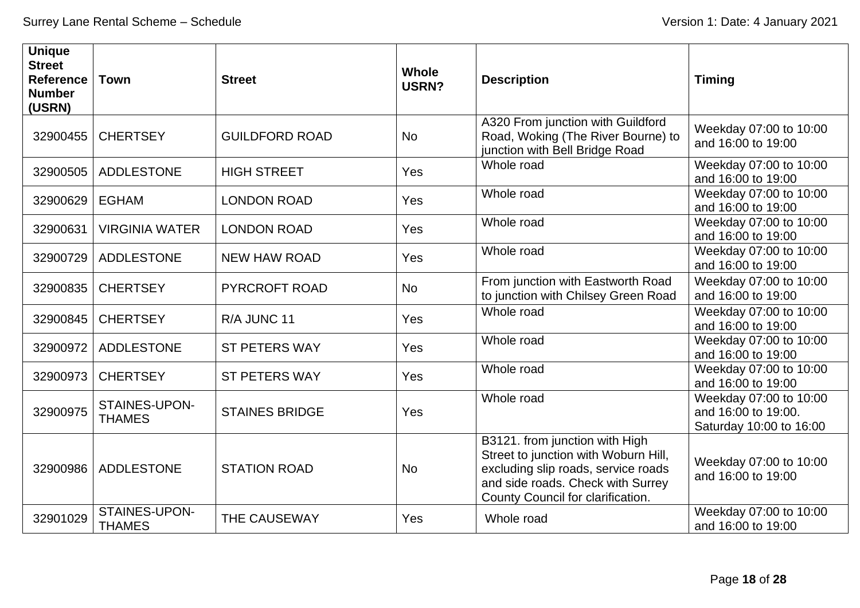| <b>Unique</b><br><b>Street</b><br><b>Reference</b><br><b>Number</b><br>(USRN) | <b>Town</b>                    | <b>Street</b>         | <b>Whole</b><br>USRN? | <b>Description</b>                                                                                                                                                                      | <b>Timing</b>                                                            |
|-------------------------------------------------------------------------------|--------------------------------|-----------------------|-----------------------|-----------------------------------------------------------------------------------------------------------------------------------------------------------------------------------------|--------------------------------------------------------------------------|
| 32900455                                                                      | <b>CHERTSEY</b>                | <b>GUILDFORD ROAD</b> | <b>No</b>             | A320 From junction with Guildford<br>Road, Woking (The River Bourne) to<br>junction with Bell Bridge Road                                                                               | Weekday 07:00 to 10:00<br>and 16:00 to 19:00                             |
| 32900505                                                                      | <b>ADDLESTONE</b>              | <b>HIGH STREET</b>    | Yes                   | Whole road                                                                                                                                                                              | Weekday 07:00 to 10:00<br>and 16:00 to 19:00                             |
| 32900629                                                                      | <b>EGHAM</b>                   | <b>LONDON ROAD</b>    | Yes                   | Whole road                                                                                                                                                                              | Weekday 07:00 to 10:00<br>and 16:00 to 19:00                             |
| 32900631                                                                      | <b>VIRGINIA WATER</b>          | <b>LONDON ROAD</b>    | Yes                   | Whole road                                                                                                                                                                              | Weekday 07:00 to 10:00<br>and 16:00 to 19:00                             |
| 32900729                                                                      | <b>ADDLESTONE</b>              | <b>NEW HAW ROAD</b>   | Yes                   | Whole road                                                                                                                                                                              | Weekday 07:00 to 10:00<br>and 16:00 to 19:00                             |
| 32900835                                                                      | <b>CHERTSEY</b>                | <b>PYRCROFT ROAD</b>  | <b>No</b>             | From junction with Eastworth Road<br>to junction with Chilsey Green Road                                                                                                                | Weekday 07:00 to 10:00<br>and 16:00 to 19:00                             |
| 32900845                                                                      | <b>CHERTSEY</b>                | R/A JUNC 11           | Yes                   | Whole road                                                                                                                                                                              | Weekday 07:00 to 10:00<br>and 16:00 to 19:00                             |
| 32900972                                                                      | <b>ADDLESTONE</b>              | <b>ST PETERS WAY</b>  | Yes                   | Whole road                                                                                                                                                                              | Weekday 07:00 to 10:00<br>and 16:00 to 19:00                             |
| 32900973                                                                      | <b>CHERTSEY</b>                | <b>ST PETERS WAY</b>  | Yes                   | Whole road                                                                                                                                                                              | Weekday 07:00 to 10:00<br>and 16:00 to 19:00                             |
| 32900975                                                                      | STAINES-UPON-<br><b>THAMES</b> | <b>STAINES BRIDGE</b> | Yes                   | Whole road                                                                                                                                                                              | Weekday 07:00 to 10:00<br>and 16:00 to 19:00.<br>Saturday 10:00 to 16:00 |
| 32900986                                                                      | <b>ADDLESTONE</b>              | <b>STATION ROAD</b>   | <b>No</b>             | B3121. from junction with High<br>Street to junction with Woburn Hill,<br>excluding slip roads, service roads<br>and side roads. Check with Surrey<br>County Council for clarification. | Weekday 07:00 to 10:00<br>and 16:00 to 19:00                             |
| 32901029                                                                      | STAINES-UPON-<br><b>THAMES</b> | THE CAUSEWAY          | Yes                   | Whole road                                                                                                                                                                              | Weekday 07:00 to 10:00<br>and 16:00 to 19:00                             |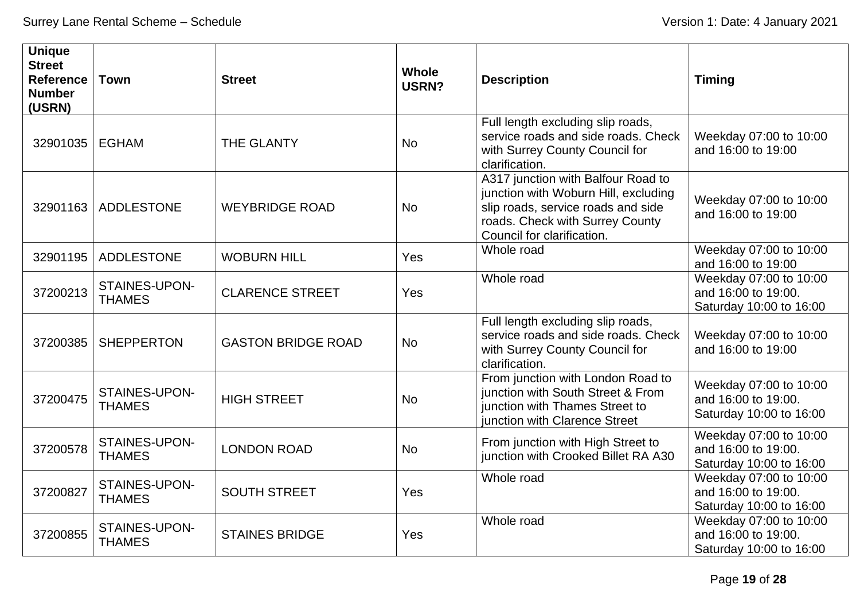| <b>Unique</b><br><b>Street</b><br><b>Reference</b><br><b>Number</b><br>(USRN) | <b>Town</b>                    | <b>Street</b>             | <b>Whole</b><br><b>USRN?</b> | <b>Description</b>                                                                                                                                                                | <b>Timing</b>                                                            |
|-------------------------------------------------------------------------------|--------------------------------|---------------------------|------------------------------|-----------------------------------------------------------------------------------------------------------------------------------------------------------------------------------|--------------------------------------------------------------------------|
| 32901035                                                                      | <b>EGHAM</b>                   | <b>THE GLANTY</b>         | <b>No</b>                    | Full length excluding slip roads,<br>service roads and side roads. Check<br>with Surrey County Council for<br>clarification.                                                      | Weekday 07:00 to 10:00<br>and 16:00 to 19:00                             |
| 32901163                                                                      | ADDLESTONE                     | <b>WEYBRIDGE ROAD</b>     | <b>No</b>                    | A317 junction with Balfour Road to<br>junction with Woburn Hill, excluding<br>slip roads, service roads and side<br>roads. Check with Surrey County<br>Council for clarification. | Weekday 07:00 to 10:00<br>and 16:00 to 19:00                             |
| 32901195                                                                      | <b>ADDLESTONE</b>              | <b>WOBURN HILL</b>        | Yes                          | Whole road                                                                                                                                                                        | Weekday 07:00 to 10:00<br>and 16:00 to 19:00                             |
| 37200213                                                                      | STAINES-UPON-<br><b>THAMES</b> | <b>CLARENCE STREET</b>    | Yes                          | Whole road                                                                                                                                                                        | Weekday 07:00 to 10:00<br>and 16:00 to 19:00.<br>Saturday 10:00 to 16:00 |
| 37200385                                                                      | <b>SHEPPERTON</b>              | <b>GASTON BRIDGE ROAD</b> | <b>No</b>                    | Full length excluding slip roads,<br>service roads and side roads. Check<br>with Surrey County Council for<br>clarification.                                                      | Weekday 07:00 to 10:00<br>and 16:00 to 19:00                             |
| 37200475                                                                      | STAINES-UPON-<br><b>THAMES</b> | <b>HIGH STREET</b>        | <b>No</b>                    | From junction with London Road to<br>junction with South Street & From<br>junction with Thames Street to<br>junction with Clarence Street                                         | Weekday 07:00 to 10:00<br>and 16:00 to 19:00.<br>Saturday 10:00 to 16:00 |
| 37200578                                                                      | STAINES-UPON-<br><b>THAMES</b> | <b>LONDON ROAD</b>        | <b>No</b>                    | From junction with High Street to<br>junction with Crooked Billet RA A30                                                                                                          | Weekday 07:00 to 10:00<br>and 16:00 to 19:00.<br>Saturday 10:00 to 16:00 |
| 37200827                                                                      | STAINES-UPON-<br><b>THAMES</b> | <b>SOUTH STREET</b>       | Yes                          | Whole road                                                                                                                                                                        | Weekday 07:00 to 10:00<br>and 16:00 to 19:00.<br>Saturday 10:00 to 16:00 |
| 37200855                                                                      | STAINES-UPON-<br><b>THAMES</b> | <b>STAINES BRIDGE</b>     | Yes                          | Whole road                                                                                                                                                                        | Weekday 07:00 to 10:00<br>and 16:00 to 19:00.<br>Saturday 10:00 to 16:00 |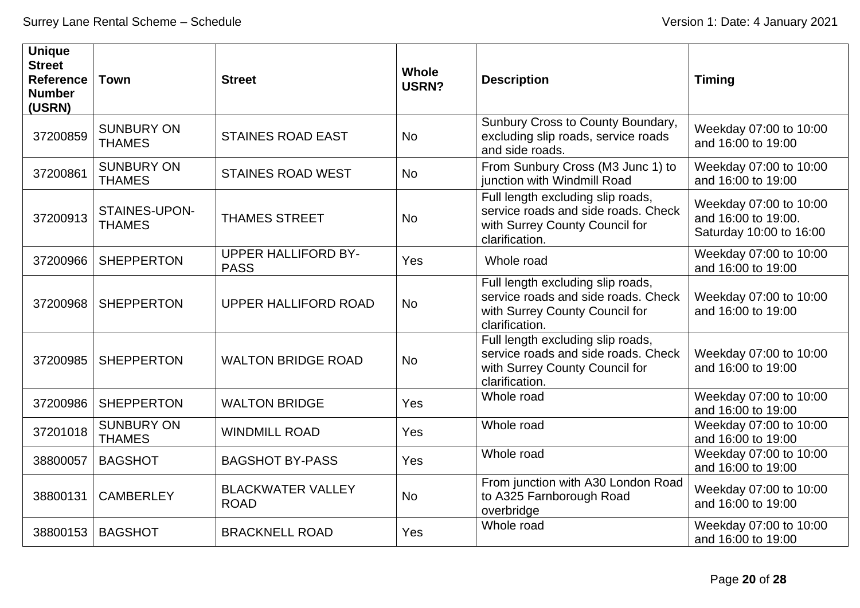| <b>Unique</b><br><b>Street</b><br><b>Reference</b><br><b>Number</b><br>(USRN) | <b>Town</b>                        | <b>Street</b>                             | <b>Whole</b><br>USRN? | <b>Description</b>                                                                                                           | <b>Timing</b>                                                            |
|-------------------------------------------------------------------------------|------------------------------------|-------------------------------------------|-----------------------|------------------------------------------------------------------------------------------------------------------------------|--------------------------------------------------------------------------|
| 37200859                                                                      | <b>SUNBURY ON</b><br><b>THAMES</b> | <b>STAINES ROAD EAST</b>                  | <b>No</b>             | Sunbury Cross to County Boundary,<br>excluding slip roads, service roads<br>and side roads.                                  | Weekday 07:00 to 10:00<br>and 16:00 to 19:00                             |
| 37200861                                                                      | <b>SUNBURY ON</b><br><b>THAMES</b> | <b>STAINES ROAD WEST</b>                  | <b>No</b>             | From Sunbury Cross (M3 Junc 1) to<br>junction with Windmill Road                                                             | Weekday 07:00 to 10:00<br>and 16:00 to 19:00                             |
| 37200913                                                                      | STAINES-UPON-<br><b>THAMES</b>     | <b>THAMES STREET</b>                      | <b>No</b>             | Full length excluding slip roads,<br>service roads and side roads. Check<br>with Surrey County Council for<br>clarification. | Weekday 07:00 to 10:00<br>and 16:00 to 19:00.<br>Saturday 10:00 to 16:00 |
| 37200966                                                                      | <b>SHEPPERTON</b>                  | <b>UPPER HALLIFORD BY-</b><br><b>PASS</b> | Yes                   | Whole road                                                                                                                   | Weekday 07:00 to 10:00<br>and 16:00 to 19:00                             |
| 37200968                                                                      | <b>SHEPPERTON</b>                  | UPPER HALLIFORD ROAD                      | <b>No</b>             | Full length excluding slip roads,<br>service roads and side roads. Check<br>with Surrey County Council for<br>clarification. | Weekday 07:00 to 10:00<br>and 16:00 to 19:00                             |
| 37200985                                                                      | <b>SHEPPERTON</b>                  | <b>WALTON BRIDGE ROAD</b>                 | <b>No</b>             | Full length excluding slip roads,<br>service roads and side roads. Check<br>with Surrey County Council for<br>clarification. | Weekday 07:00 to 10:00<br>and 16:00 to 19:00                             |
| 37200986                                                                      | <b>SHEPPERTON</b>                  | <b>WALTON BRIDGE</b>                      | Yes                   | Whole road                                                                                                                   | Weekday 07:00 to 10:00<br>and 16:00 to 19:00                             |
| 37201018                                                                      | <b>SUNBURY ON</b><br><b>THAMES</b> | <b>WINDMILL ROAD</b>                      | Yes                   | Whole road                                                                                                                   | Weekday 07:00 to 10:00<br>and 16:00 to 19:00                             |
| 38800057                                                                      | <b>BAGSHOT</b>                     | <b>BAGSHOT BY-PASS</b>                    | Yes                   | Whole road                                                                                                                   | Weekday 07:00 to 10:00<br>and 16:00 to 19:00                             |
| 38800131                                                                      | <b>CAMBERLEY</b>                   | <b>BLACKWATER VALLEY</b><br><b>ROAD</b>   | <b>No</b>             | From junction with A30 London Road<br>to A325 Farnborough Road<br>overbridge                                                 | Weekday 07:00 to 10:00<br>and 16:00 to 19:00                             |
| 38800153                                                                      | <b>BAGSHOT</b>                     | <b>BRACKNELL ROAD</b>                     | Yes                   | Whole road                                                                                                                   | Weekday 07:00 to 10:00<br>and 16:00 to 19:00                             |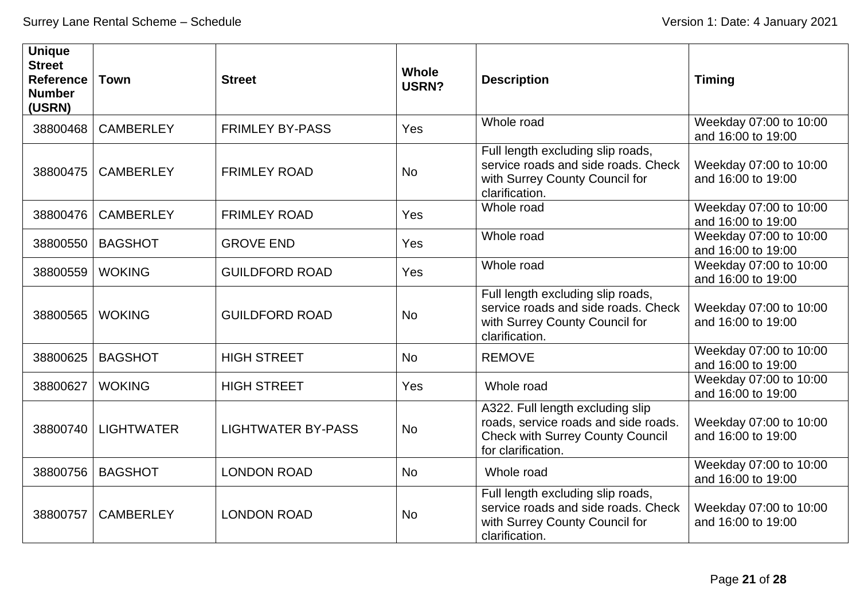| <b>Unique</b><br><b>Street</b><br><b>Reference</b><br><b>Number</b><br>(USRN) | <b>Town</b>       | <b>Street</b>             | <b>Whole</b><br>USRN? | <b>Description</b>                                                                                                                        | <b>Timing</b>                                |
|-------------------------------------------------------------------------------|-------------------|---------------------------|-----------------------|-------------------------------------------------------------------------------------------------------------------------------------------|----------------------------------------------|
| 38800468                                                                      | <b>CAMBERLEY</b>  | <b>FRIMLEY BY-PASS</b>    | Yes                   | Whole road                                                                                                                                | Weekday 07:00 to 10:00<br>and 16:00 to 19:00 |
| 38800475                                                                      | <b>CAMBERLEY</b>  | <b>FRIMLEY ROAD</b>       | <b>No</b>             | Full length excluding slip roads,<br>service roads and side roads. Check<br>with Surrey County Council for<br>clarification.              | Weekday 07:00 to 10:00<br>and 16:00 to 19:00 |
| 38800476                                                                      | <b>CAMBERLEY</b>  | <b>FRIMLEY ROAD</b>       | Yes                   | Whole road                                                                                                                                | Weekday 07:00 to 10:00<br>and 16:00 to 19:00 |
| 38800550                                                                      | <b>BAGSHOT</b>    | <b>GROVE END</b>          | Yes                   | Whole road                                                                                                                                | Weekday 07:00 to 10:00<br>and 16:00 to 19:00 |
| 38800559                                                                      | <b>WOKING</b>     | <b>GUILDFORD ROAD</b>     | Yes                   | Whole road                                                                                                                                | Weekday 07:00 to 10:00<br>and 16:00 to 19:00 |
| 38800565                                                                      | <b>WOKING</b>     | <b>GUILDFORD ROAD</b>     | <b>No</b>             | Full length excluding slip roads,<br>service roads and side roads. Check<br>with Surrey County Council for<br>clarification.              | Weekday 07:00 to 10:00<br>and 16:00 to 19:00 |
| 38800625                                                                      | <b>BAGSHOT</b>    | <b>HIGH STREET</b>        | <b>No</b>             | <b>REMOVE</b>                                                                                                                             | Weekday 07:00 to 10:00<br>and 16:00 to 19:00 |
| 38800627                                                                      | <b>WOKING</b>     | <b>HIGH STREET</b>        | Yes                   | Whole road                                                                                                                                | Weekday 07:00 to 10:00<br>and 16:00 to 19:00 |
| 38800740                                                                      | <b>LIGHTWATER</b> | <b>LIGHTWATER BY-PASS</b> | <b>No</b>             | A322. Full length excluding slip<br>roads, service roads and side roads.<br><b>Check with Surrey County Council</b><br>for clarification. | Weekday 07:00 to 10:00<br>and 16:00 to 19:00 |
| 38800756                                                                      | <b>BAGSHOT</b>    | <b>LONDON ROAD</b>        | <b>No</b>             | Whole road                                                                                                                                | Weekday 07:00 to 10:00<br>and 16:00 to 19:00 |
| 38800757                                                                      | <b>CAMBERLEY</b>  | <b>LONDON ROAD</b>        | <b>No</b>             | Full length excluding slip roads,<br>service roads and side roads. Check<br>with Surrey County Council for<br>clarification.              | Weekday 07:00 to 10:00<br>and 16:00 to 19:00 |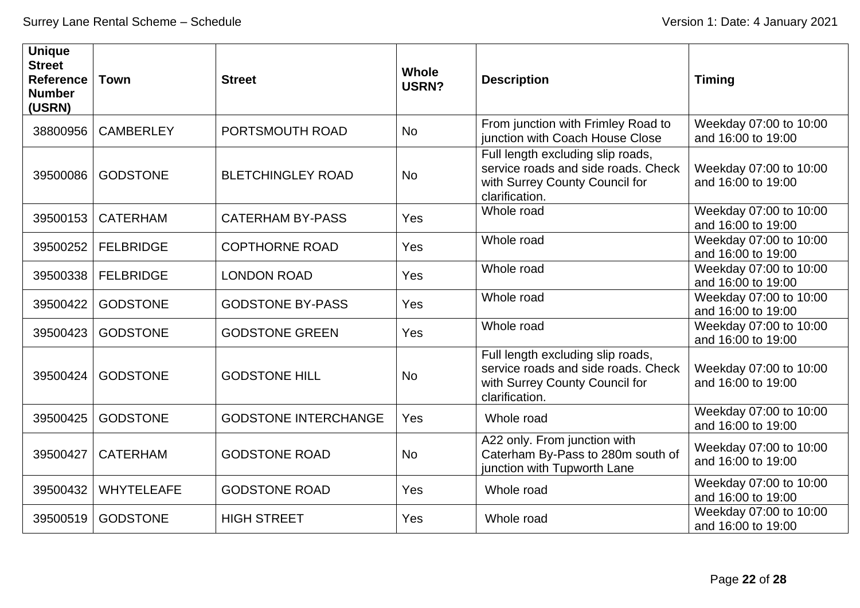| <b>Unique</b><br><b>Street</b><br><b>Reference</b><br><b>Number</b><br>(USRN) | <b>Town</b>       | <b>Street</b>               | <b>Whole</b><br>USRN? | <b>Description</b>                                                                                                           | <b>Timing</b>                                |
|-------------------------------------------------------------------------------|-------------------|-----------------------------|-----------------------|------------------------------------------------------------------------------------------------------------------------------|----------------------------------------------|
| 38800956                                                                      | <b>CAMBERLEY</b>  | PORTSMOUTH ROAD             | <b>No</b>             | From junction with Frimley Road to<br>junction with Coach House Close                                                        | Weekday 07:00 to 10:00<br>and 16:00 to 19:00 |
| 39500086                                                                      | <b>GODSTONE</b>   | <b>BLETCHINGLEY ROAD</b>    | <b>No</b>             | Full length excluding slip roads,<br>service roads and side roads. Check<br>with Surrey County Council for<br>clarification. | Weekday 07:00 to 10:00<br>and 16:00 to 19:00 |
| 39500153                                                                      | <b>CATERHAM</b>   | <b>CATERHAM BY-PASS</b>     | Yes                   | Whole road                                                                                                                   | Weekday 07:00 to 10:00<br>and 16:00 to 19:00 |
| 39500252                                                                      | <b>FELBRIDGE</b>  | <b>COPTHORNE ROAD</b>       | Yes                   | Whole road                                                                                                                   | Weekday 07:00 to 10:00<br>and 16:00 to 19:00 |
| 39500338                                                                      | <b>FELBRIDGE</b>  | <b>LONDON ROAD</b>          | Yes                   | Whole road                                                                                                                   | Weekday 07:00 to 10:00<br>and 16:00 to 19:00 |
| 39500422                                                                      | <b>GODSTONE</b>   | <b>GODSTONE BY-PASS</b>     | Yes                   | Whole road                                                                                                                   | Weekday 07:00 to 10:00<br>and 16:00 to 19:00 |
| 39500423                                                                      | <b>GODSTONE</b>   | <b>GODSTONE GREEN</b>       | Yes                   | Whole road                                                                                                                   | Weekday 07:00 to 10:00<br>and 16:00 to 19:00 |
| 39500424                                                                      | <b>GODSTONE</b>   | <b>GODSTONE HILL</b>        | <b>No</b>             | Full length excluding slip roads,<br>service roads and side roads. Check<br>with Surrey County Council for<br>clarification. | Weekday 07:00 to 10:00<br>and 16:00 to 19:00 |
| 39500425                                                                      | <b>GODSTONE</b>   | <b>GODSTONE INTERCHANGE</b> | Yes                   | Whole road                                                                                                                   | Weekday 07:00 to 10:00<br>and 16:00 to 19:00 |
| 39500427                                                                      | <b>CATERHAM</b>   | <b>GODSTONE ROAD</b>        | <b>No</b>             | A22 only. From junction with<br>Caterham By-Pass to 280m south of<br>junction with Tupworth Lane                             | Weekday 07:00 to 10:00<br>and 16:00 to 19:00 |
| 39500432                                                                      | <b>WHYTELEAFE</b> | <b>GODSTONE ROAD</b>        | Yes                   | Whole road                                                                                                                   | Weekday 07:00 to 10:00<br>and 16:00 to 19:00 |
| 39500519                                                                      | <b>GODSTONE</b>   | <b>HIGH STREET</b>          | Yes                   | Whole road                                                                                                                   | Weekday 07:00 to 10:00<br>and 16:00 to 19:00 |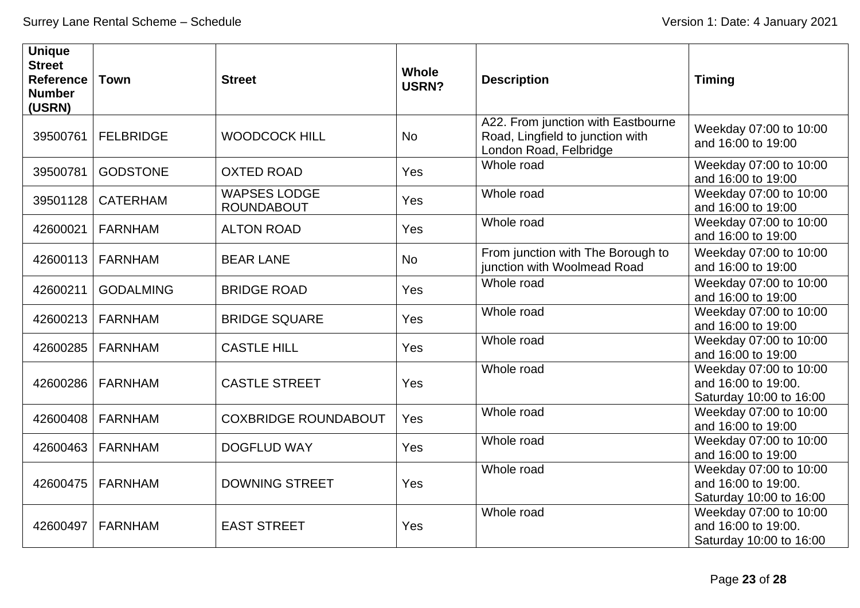| <b>Unique</b><br><b>Street</b><br><b>Reference</b><br><b>Number</b><br>(USRN) | <b>Town</b>         | <b>Street</b>                            | <b>Whole</b><br>USRN? | <b>Description</b>                                                                               | <b>Timing</b>                                                            |
|-------------------------------------------------------------------------------|---------------------|------------------------------------------|-----------------------|--------------------------------------------------------------------------------------------------|--------------------------------------------------------------------------|
| 39500761                                                                      | <b>FELBRIDGE</b>    | <b>WOODCOCK HILL</b>                     | <b>No</b>             | A22. From junction with Eastbourne<br>Road, Lingfield to junction with<br>London Road, Felbridge | Weekday 07:00 to 10:00<br>and 16:00 to 19:00                             |
| 39500781                                                                      | <b>GODSTONE</b>     | <b>OXTED ROAD</b>                        | Yes                   | Whole road                                                                                       | Weekday 07:00 to 10:00<br>and 16:00 to 19:00                             |
|                                                                               | 39501128   CATERHAM | <b>WAPSES LODGE</b><br><b>ROUNDABOUT</b> | Yes                   | Whole road                                                                                       | Weekday 07:00 to 10:00<br>and 16:00 to 19:00                             |
| 42600021                                                                      | <b>FARNHAM</b>      | <b>ALTON ROAD</b>                        | Yes                   | Whole road                                                                                       | Weekday 07:00 to 10:00<br>and 16:00 to 19:00                             |
| 42600113                                                                      | <b>FARNHAM</b>      | <b>BEAR LANE</b>                         | <b>No</b>             | From junction with The Borough to<br>junction with Woolmead Road                                 | Weekday 07:00 to 10:00<br>and 16:00 to 19:00                             |
| 42600211                                                                      | <b>GODALMING</b>    | <b>BRIDGE ROAD</b>                       | Yes                   | Whole road                                                                                       | Weekday 07:00 to 10:00<br>and 16:00 to 19:00                             |
|                                                                               | 42600213   FARNHAM  | <b>BRIDGE SQUARE</b>                     | Yes                   | Whole road                                                                                       | Weekday 07:00 to 10:00<br>and 16:00 to 19:00                             |
| 42600285                                                                      | <b>FARNHAM</b>      | <b>CASTLE HILL</b>                       | Yes                   | Whole road                                                                                       | Weekday 07:00 to 10:00<br>and 16:00 to 19:00                             |
| 42600286                                                                      | FARNHAM             | <b>CASTLE STREET</b>                     | Yes                   | Whole road                                                                                       | Weekday 07:00 to 10:00<br>and 16:00 to 19:00.<br>Saturday 10:00 to 16:00 |
| 42600408                                                                      | <b>FARNHAM</b>      | <b>COXBRIDGE ROUNDABOUT</b>              | Yes                   | Whole road                                                                                       | Weekday 07:00 to 10:00<br>and 16:00 to 19:00                             |
| 42600463                                                                      | <b>FARNHAM</b>      | <b>DOGFLUD WAY</b>                       | Yes                   | Whole road                                                                                       | Weekday 07:00 to 10:00<br>and 16:00 to 19:00                             |
| 42600475                                                                      | <b>FARNHAM</b>      | <b>DOWNING STREET</b>                    | Yes                   | Whole road                                                                                       | Weekday 07:00 to 10:00<br>and 16:00 to 19:00.<br>Saturday 10:00 to 16:00 |
| 42600497                                                                      | <b>FARNHAM</b>      | <b>EAST STREET</b>                       | Yes                   | Whole road                                                                                       | Weekday 07:00 to 10:00<br>and 16:00 to 19:00.<br>Saturday 10:00 to 16:00 |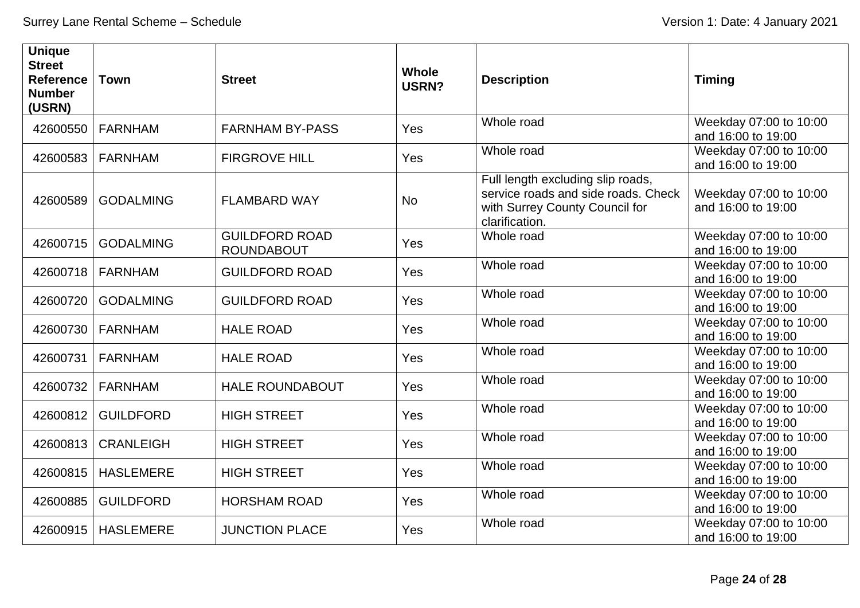| <b>Unique</b><br><b>Street</b><br><b>Reference</b><br><b>Number</b><br>(USRN) | <b>Town</b>      | <b>Street</b>                              | <b>Whole</b><br>USRN? | <b>Description</b>                                                                                                           | <b>Timing</b>                                |
|-------------------------------------------------------------------------------|------------------|--------------------------------------------|-----------------------|------------------------------------------------------------------------------------------------------------------------------|----------------------------------------------|
| 42600550                                                                      | <b>FARNHAM</b>   | <b>FARNHAM BY-PASS</b>                     | <b>Yes</b>            | Whole road                                                                                                                   | Weekday 07:00 to 10:00<br>and 16:00 to 19:00 |
| 42600583                                                                      | <b>FARNHAM</b>   | <b>FIRGROVE HILL</b>                       | Yes                   | Whole road                                                                                                                   | Weekday 07:00 to 10:00<br>and 16:00 to 19:00 |
| 42600589                                                                      | <b>GODALMING</b> | <b>FLAMBARD WAY</b>                        | <b>No</b>             | Full length excluding slip roads,<br>service roads and side roads. Check<br>with Surrey County Council for<br>clarification. | Weekday 07:00 to 10:00<br>and 16:00 to 19:00 |
| 42600715                                                                      | <b>GODALMING</b> | <b>GUILDFORD ROAD</b><br><b>ROUNDABOUT</b> | Yes                   | Whole road                                                                                                                   | Weekday 07:00 to 10:00<br>and 16:00 to 19:00 |
| 42600718                                                                      | <b>FARNHAM</b>   | <b>GUILDFORD ROAD</b>                      | Yes                   | Whole road                                                                                                                   | Weekday 07:00 to 10:00<br>and 16:00 to 19:00 |
| 42600720                                                                      | <b>GODALMING</b> | <b>GUILDFORD ROAD</b>                      | Yes                   | Whole road                                                                                                                   | Weekday 07:00 to 10:00<br>and 16:00 to 19:00 |
| 42600730                                                                      | <b>FARNHAM</b>   | <b>HALE ROAD</b>                           | Yes                   | Whole road                                                                                                                   | Weekday 07:00 to 10:00<br>and 16:00 to 19:00 |
| 42600731                                                                      | <b>FARNHAM</b>   | <b>HALE ROAD</b>                           | Yes                   | Whole road                                                                                                                   | Weekday 07:00 to 10:00<br>and 16:00 to 19:00 |
| 42600732                                                                      | <b>FARNHAM</b>   | <b>HALE ROUNDABOUT</b>                     | Yes                   | Whole road                                                                                                                   | Weekday 07:00 to 10:00<br>and 16:00 to 19:00 |
| 42600812                                                                      | <b>GUILDFORD</b> | <b>HIGH STREET</b>                         | Yes                   | Whole road                                                                                                                   | Weekday 07:00 to 10:00<br>and 16:00 to 19:00 |
| 42600813                                                                      | <b>CRANLEIGH</b> | <b>HIGH STREET</b>                         | Yes                   | Whole road                                                                                                                   | Weekday 07:00 to 10:00<br>and 16:00 to 19:00 |
| 42600815                                                                      | <b>HASLEMERE</b> | <b>HIGH STREET</b>                         | Yes                   | Whole road                                                                                                                   | Weekday 07:00 to 10:00<br>and 16:00 to 19:00 |
| 42600885                                                                      | <b>GUILDFORD</b> | <b>HORSHAM ROAD</b>                        | Yes                   | Whole road                                                                                                                   | Weekday 07:00 to 10:00<br>and 16:00 to 19:00 |
| 42600915                                                                      | <b>HASLEMERE</b> | <b>JUNCTION PLACE</b>                      | Yes                   | Whole road                                                                                                                   | Weekday 07:00 to 10:00<br>and 16:00 to 19:00 |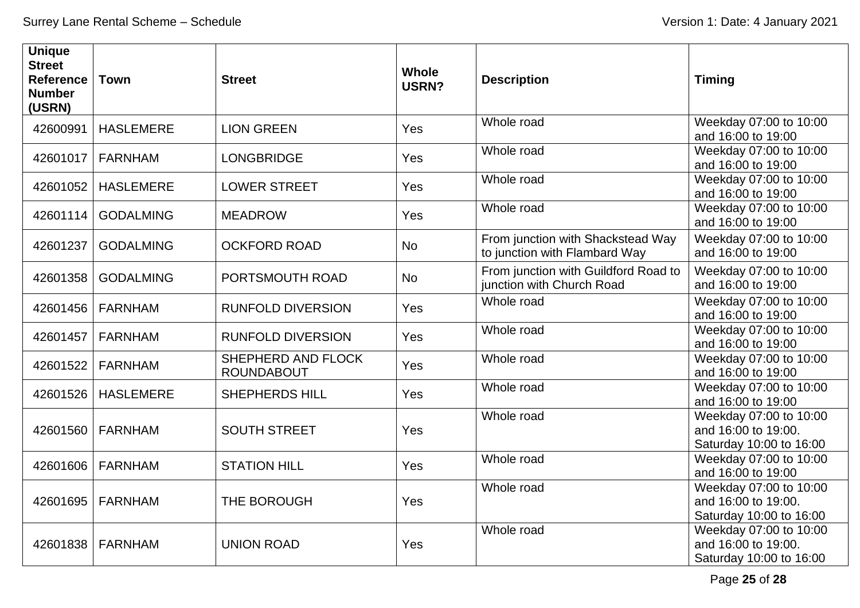| <b>Unique</b><br><b>Street</b><br>Reference<br><b>Number</b><br>(USRN) | <b>Town</b>      | <b>Street</b>                           | <b>Whole</b><br>USRN? | <b>Description</b>                                                 | <b>Timing</b>                                                            |
|------------------------------------------------------------------------|------------------|-----------------------------------------|-----------------------|--------------------------------------------------------------------|--------------------------------------------------------------------------|
| 42600991                                                               | <b>HASLEMERE</b> | <b>LION GREEN</b>                       | Yes                   | Whole road                                                         | Weekday 07:00 to 10:00<br>and 16:00 to 19:00                             |
| 42601017                                                               | <b>FARNHAM</b>   | <b>LONGBRIDGE</b>                       | Yes                   | Whole road                                                         | Weekday 07:00 to 10:00<br>and 16:00 to 19:00                             |
| 42601052                                                               | <b>HASLEMERE</b> | <b>LOWER STREET</b>                     | Yes                   | Whole road                                                         | Weekday 07:00 to 10:00<br>and 16:00 to 19:00                             |
| 42601114                                                               | <b>GODALMING</b> | <b>MEADROW</b>                          | Yes                   | Whole road                                                         | Weekday 07:00 to 10:00<br>and 16:00 to 19:00                             |
| 42601237                                                               | <b>GODALMING</b> | <b>OCKFORD ROAD</b>                     | <b>No</b>             | From junction with Shackstead Way<br>to junction with Flambard Way | Weekday 07:00 to 10:00<br>and 16:00 to 19:00                             |
| 42601358                                                               | <b>GODALMING</b> | PORTSMOUTH ROAD                         | <b>No</b>             | From junction with Guildford Road to<br>junction with Church Road  | Weekday 07:00 to 10:00<br>and 16:00 to 19:00                             |
| 42601456                                                               | <b>FARNHAM</b>   | <b>RUNFOLD DIVERSION</b>                | Yes                   | Whole road                                                         | Weekday 07:00 to 10:00<br>and 16:00 to 19:00                             |
| 42601457                                                               | <b>FARNHAM</b>   | <b>RUNFOLD DIVERSION</b>                | Yes                   | Whole road                                                         | Weekday 07:00 to 10:00<br>and 16:00 to 19:00                             |
| 42601522                                                               | <b>FARNHAM</b>   | SHEPHERD AND FLOCK<br><b>ROUNDABOUT</b> | Yes                   | Whole road                                                         | Weekday 07:00 to 10:00<br>and 16:00 to 19:00                             |
| 42601526                                                               | <b>HASLEMERE</b> | <b>SHEPHERDS HILL</b>                   | Yes                   | Whole road                                                         | Weekday 07:00 to 10:00<br>and 16:00 to 19:00                             |
| 42601560                                                               | <b>FARNHAM</b>   | <b>SOUTH STREET</b>                     | Yes                   | Whole road                                                         | Weekday 07:00 to 10:00<br>and 16:00 to 19:00.<br>Saturday 10:00 to 16:00 |
| 42601606                                                               | <b>FARNHAM</b>   | <b>STATION HILL</b>                     | Yes                   | Whole road                                                         | Weekday 07:00 to 10:00<br>and 16:00 to 19:00                             |
| 42601695                                                               | <b>FARNHAM</b>   | THE BOROUGH                             | Yes                   | Whole road                                                         | Weekday 07:00 to 10:00<br>and 16:00 to 19:00.<br>Saturday 10:00 to 16:00 |
| 42601838                                                               | <b>FARNHAM</b>   | <b>UNION ROAD</b>                       | Yes                   | Whole road                                                         | Weekday 07:00 to 10:00<br>and 16:00 to 19:00.<br>Saturday 10:00 to 16:00 |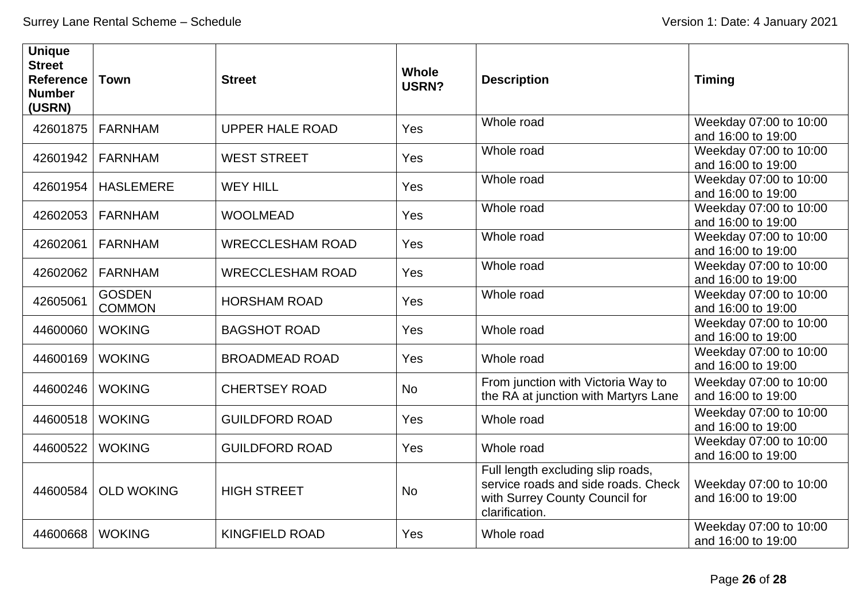| <b>Unique</b><br><b>Street</b><br><b>Reference</b><br><b>Number</b><br>(USRN) | <b>Town</b>                    | <b>Street</b>           | <b>Whole</b><br><b>USRN?</b> | <b>Description</b>                                                                                                           | <b>Timing</b>                                |
|-------------------------------------------------------------------------------|--------------------------------|-------------------------|------------------------------|------------------------------------------------------------------------------------------------------------------------------|----------------------------------------------|
| 42601875                                                                      | <b>FARNHAM</b>                 | <b>UPPER HALE ROAD</b>  | Yes                          | Whole road                                                                                                                   | Weekday 07:00 to 10:00<br>and 16:00 to 19:00 |
| 42601942                                                                      | <b>FARNHAM</b>                 | <b>WEST STREET</b>      | Yes                          | Whole road                                                                                                                   | Weekday 07:00 to 10:00<br>and 16:00 to 19:00 |
| 42601954                                                                      | <b>HASLEMERE</b>               | <b>WEY HILL</b>         | Yes                          | Whole road                                                                                                                   | Weekday 07:00 to 10:00<br>and 16:00 to 19:00 |
| 42602053                                                                      | <b>FARNHAM</b>                 | <b>WOOLMEAD</b>         | Yes                          | Whole road                                                                                                                   | Weekday 07:00 to 10:00<br>and 16:00 to 19:00 |
| 42602061                                                                      | <b>FARNHAM</b>                 | <b>WRECCLESHAM ROAD</b> | Yes                          | Whole road                                                                                                                   | Weekday 07:00 to 10:00<br>and 16:00 to 19:00 |
| 42602062                                                                      | <b>FARNHAM</b>                 | <b>WRECCLESHAM ROAD</b> | Yes                          | Whole road                                                                                                                   | Weekday 07:00 to 10:00<br>and 16:00 to 19:00 |
| 42605061                                                                      | <b>GOSDEN</b><br><b>COMMON</b> | <b>HORSHAM ROAD</b>     | Yes                          | Whole road                                                                                                                   | Weekday 07:00 to 10:00<br>and 16:00 to 19:00 |
| 44600060                                                                      | <b>WOKING</b>                  | <b>BAGSHOT ROAD</b>     | Yes                          | Whole road                                                                                                                   | Weekday 07:00 to 10:00<br>and 16:00 to 19:00 |
| 44600169                                                                      | <b>WOKING</b>                  | <b>BROADMEAD ROAD</b>   | Yes                          | Whole road                                                                                                                   | Weekday 07:00 to 10:00<br>and 16:00 to 19:00 |
| 44600246                                                                      | <b>WOKING</b>                  | <b>CHERTSEY ROAD</b>    | <b>No</b>                    | From junction with Victoria Way to<br>the RA at junction with Martyrs Lane                                                   | Weekday 07:00 to 10:00<br>and 16:00 to 19:00 |
| 44600518                                                                      | <b>WOKING</b>                  | <b>GUILDFORD ROAD</b>   | Yes                          | Whole road                                                                                                                   | Weekday 07:00 to 10:00<br>and 16:00 to 19:00 |
| 44600522                                                                      | <b>WOKING</b>                  | <b>GUILDFORD ROAD</b>   | Yes                          | Whole road                                                                                                                   | Weekday 07:00 to 10:00<br>and 16:00 to 19:00 |
| 44600584                                                                      | <b>OLD WOKING</b>              | <b>HIGH STREET</b>      | <b>No</b>                    | Full length excluding slip roads,<br>service roads and side roads. Check<br>with Surrey County Council for<br>clarification. | Weekday 07:00 to 10:00<br>and 16:00 to 19:00 |
| 44600668                                                                      | <b>WOKING</b>                  | <b>KINGFIELD ROAD</b>   | Yes                          | Whole road                                                                                                                   | Weekday 07:00 to 10:00<br>and 16:00 to 19:00 |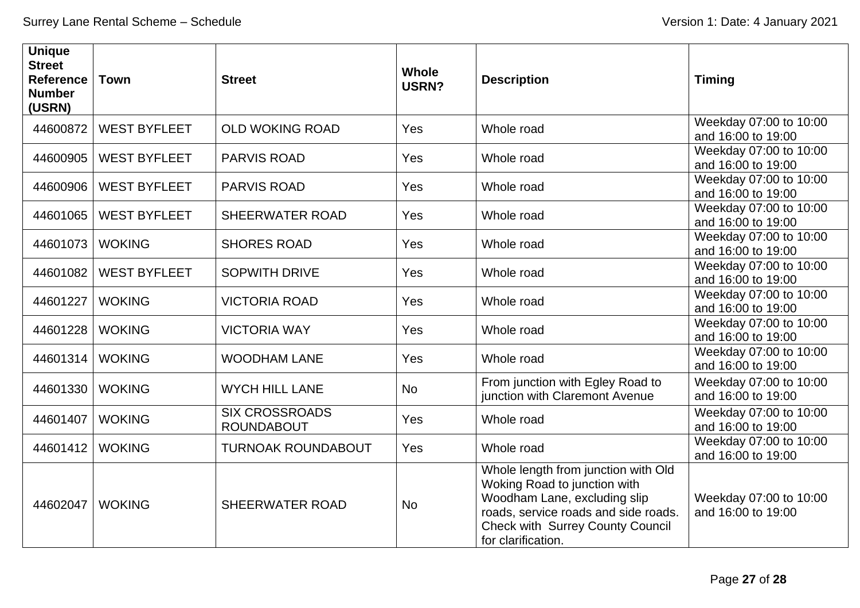| <b>Unique</b><br><b>Street</b><br><b>Reference</b><br><b>Number</b><br>(USRN) | <b>Town</b>         | <b>Street</b>                              | <b>Whole</b><br>USRN? | <b>Description</b>                                                                                                                                                                                           | <b>Timing</b>                                |
|-------------------------------------------------------------------------------|---------------------|--------------------------------------------|-----------------------|--------------------------------------------------------------------------------------------------------------------------------------------------------------------------------------------------------------|----------------------------------------------|
| 44600872                                                                      | <b>WEST BYFLEET</b> | <b>OLD WOKING ROAD</b>                     | Yes                   | Whole road                                                                                                                                                                                                   | Weekday 07:00 to 10:00<br>and 16:00 to 19:00 |
| 44600905                                                                      | <b>WEST BYFLEET</b> | <b>PARVIS ROAD</b>                         | Yes                   | Whole road                                                                                                                                                                                                   | Weekday 07:00 to 10:00<br>and 16:00 to 19:00 |
| 44600906                                                                      | <b>WEST BYFLEET</b> | <b>PARVIS ROAD</b>                         | Yes                   | Whole road                                                                                                                                                                                                   | Weekday 07:00 to 10:00<br>and 16:00 to 19:00 |
| 44601065                                                                      | <b>WEST BYFLEET</b> | <b>SHEERWATER ROAD</b>                     | Yes                   | Whole road                                                                                                                                                                                                   | Weekday 07:00 to 10:00<br>and 16:00 to 19:00 |
| 44601073                                                                      | <b>WOKING</b>       | <b>SHORES ROAD</b>                         | Yes                   | Whole road                                                                                                                                                                                                   | Weekday 07:00 to 10:00<br>and 16:00 to 19:00 |
| 44601082                                                                      | <b>WEST BYFLEET</b> | <b>SOPWITH DRIVE</b>                       | Yes                   | Whole road                                                                                                                                                                                                   | Weekday 07:00 to 10:00<br>and 16:00 to 19:00 |
| 44601227                                                                      | <b>WOKING</b>       | <b>VICTORIA ROAD</b>                       | Yes                   | Whole road                                                                                                                                                                                                   | Weekday 07:00 to 10:00<br>and 16:00 to 19:00 |
| 44601228                                                                      | <b>WOKING</b>       | <b>VICTORIA WAY</b>                        | Yes                   | Whole road                                                                                                                                                                                                   | Weekday 07:00 to 10:00<br>and 16:00 to 19:00 |
| 44601314                                                                      | <b>WOKING</b>       | <b>WOODHAM LANE</b>                        | Yes                   | Whole road                                                                                                                                                                                                   | Weekday 07:00 to 10:00<br>and 16:00 to 19:00 |
| 44601330                                                                      | <b>WOKING</b>       | <b>WYCH HILL LANE</b>                      | <b>No</b>             | From junction with Egley Road to<br>junction with Claremont Avenue                                                                                                                                           | Weekday 07:00 to 10:00<br>and 16:00 to 19:00 |
| 44601407                                                                      | <b>WOKING</b>       | <b>SIX CROSSROADS</b><br><b>ROUNDABOUT</b> | Yes                   | Whole road                                                                                                                                                                                                   | Weekday 07:00 to 10:00<br>and 16:00 to 19:00 |
| 44601412                                                                      | <b>WOKING</b>       | <b>TURNOAK ROUNDABOUT</b>                  | Yes                   | Whole road                                                                                                                                                                                                   | Weekday 07:00 to 10:00<br>and 16:00 to 19:00 |
| 44602047                                                                      | <b>WOKING</b>       | <b>SHEERWATER ROAD</b>                     | <b>No</b>             | Whole length from junction with Old<br>Woking Road to junction with<br>Woodham Lane, excluding slip<br>roads, service roads and side roads.<br><b>Check with Surrey County Council</b><br>for clarification. | Weekday 07:00 to 10:00<br>and 16:00 to 19:00 |